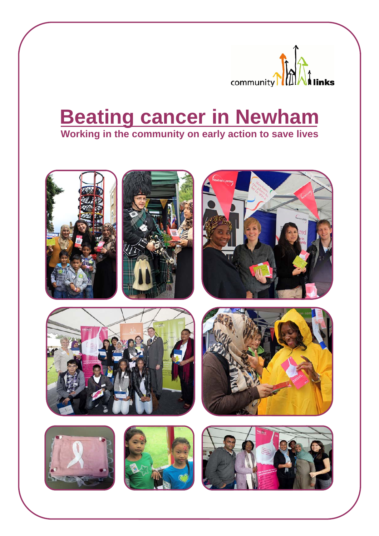

# **Beating cancer in Newham Working in the community on early action to save lives**







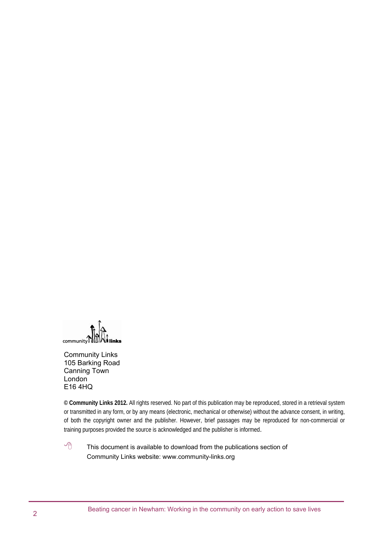community links

Community Links 105 Barking Road Canning Town London E16 4HQ

**© Community Links 2012.** All rights reserved. No part of this publication may be reproduced, stored in a retrieval system or transmitted in any form, or by any means (electronic, mechanical or otherwise) without the advance consent, in writing, of both the copyright owner and the publisher. However, brief passages may be reproduced for non-commercial or training purposes provided the source is acknowledged and the publisher is informed.

 $\sqrt{\theta}$  This document is available to download from the publications section of Community Links website: www.community-links.org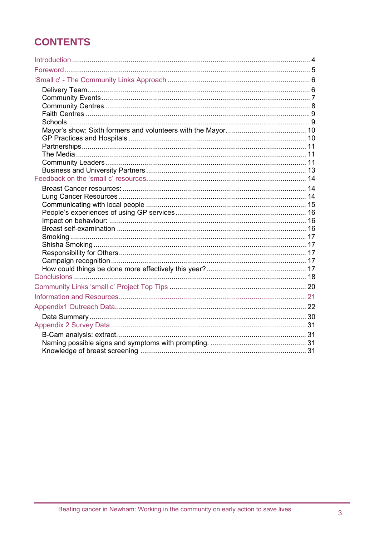## **CONTENTS**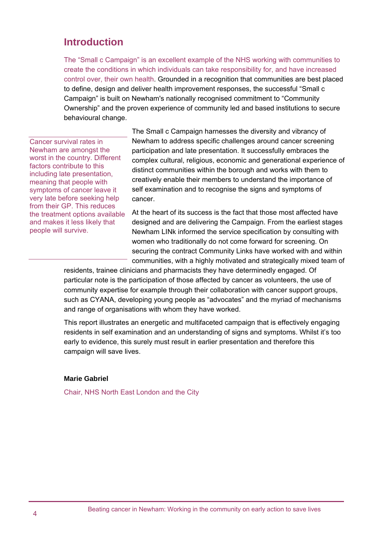## **Introduction**

The "Small c Campaign" is an excellent example of the NHS working with communities to create the conditions in which individuals can take responsibility for, and have increased control over, their own health. Grounded in a recognition that communities are best placed to define, design and deliver health improvement responses, the successful "Small c Campaign" is built on Newham's nationally recognised commitment to "Community Ownership" and the proven experience of community led and based institutions to secure behavioural change.

Cancer survival rates in Newham are amongst the worst in the country. Different factors contribute to this including late presentation, meaning that people with symptoms of cancer leave it very late before seeking help from their GP. This reduces the treatment options available and makes it less likely that people will survive.

The Small c Campaign harnesses the diversity and vibrancy of Newham to address specific challenges around cancer screening participation and late presentation. It successfully embraces the complex cultural, religious, economic and generational experience of distinct communities within the borough and works with them to creatively enable their members to understand the importance of self examination and to recognise the signs and symptoms of cancer.

At the heart of its success is the fact that those most affected have designed and are delivering the Campaign. From the earliest stages Newham LINk informed the service specification by consulting with women who traditionally do not come forward for screening. On securing the contract Community Links have worked with and within communities, with a highly motivated and strategically mixed team of

residents, trainee clinicians and pharmacists they have determinedly engaged. Of particular note is the participation of those affected by cancer as volunteers, the use of community expertise for example through their collaboration with cancer support groups, such as CYANA, developing young people as "advocates" and the myriad of mechanisms and range of organisations with whom they have worked.

This report illustrates an energetic and multifaceted campaign that is effectively engaging residents in self examination and an understanding of signs and symptoms. Whilst it's too early to evidence, this surely must result in earlier presentation and therefore this campaign will save lives.

#### **Marie Gabriel**

Chair, NHS North East London and the City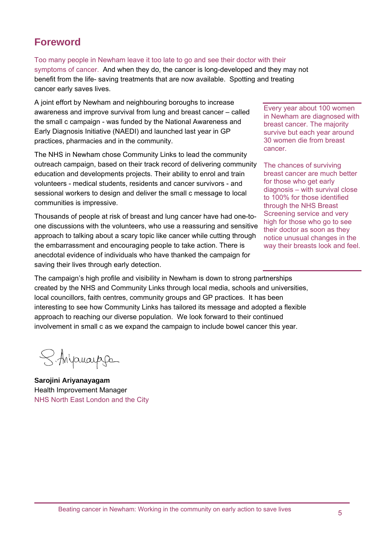## **Foreword**

Too many people in Newham leave it too late to go and see their doctor with their symptoms of cancer. And when they do, the cancer is long-developed and they may not benefit from the life- saving treatments that are now available. Spotting and treating cancer early saves lives.

A joint effort by Newham and neighbouring boroughs to increase awareness and improve survival from lung and breast cancer – called the small c campaign - was funded by the National Awareness and Early Diagnosis Initiative (NAEDI) and launched last year in GP practices, pharmacies and in the community.

The NHS in Newham chose Community Links to lead the community outreach campaign, based on their track record of delivering community education and developments projects. Their ability to enrol and train volunteers - medical students, residents and cancer survivors - and sessional workers to design and deliver the small c message to local communities is impressive.

Thousands of people at risk of breast and lung cancer have had one-toone discussions with the volunteers, who use a reassuring and sensitive approach to talking about a scary topic like cancer while cutting through the embarrassment and encouraging people to take action. There is anecdotal evidence of individuals who have thanked the campaign for saving their lives through early detection.

Every year about 100 women in Newham are diagnosed with breast cancer. The majority survive but each year around 30 women die from breast cancer.

The chances of surviving breast cancer are much better for those who get early diagnosis – with survival close to 100% for those identified through the NHS Breast Screening service and very high for those who go to see their doctor as soon as they notice unusual changes in the way their breasts look and feel.

The campaign's high profile and visibility in Newham is down to strong partnerships created by the NHS and Community Links through local media, schools and universities, local councillors, faith centres, community groups and GP practices. It has been interesting to see how Community Links has tailored its message and adopted a flexible approach to reaching our diverse population. We look forward to their continued involvement in small c as we expand the campaign to include bowel cancer this year.

S. Anyonauppe

**Sarojini Ariyanayagam**  Health Improvement Manager NHS North East London and the City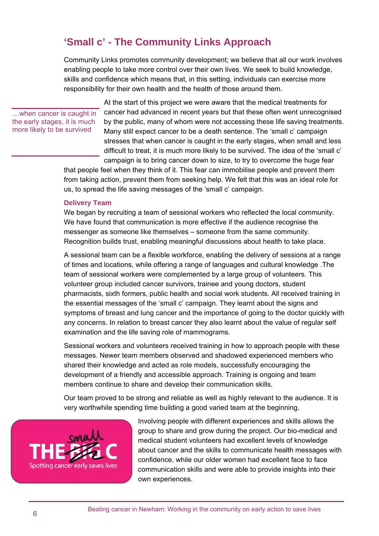## **'Small c' - The Community Links Approach**

Community Links promotes community development; we believe that all our work involves enabling people to take more control over their own lives. We seek to build knowledge, skills and confidence which means that, in this setting, individuals can exercise more responsibility for their own health and the health of those around them.

…when cancer is caught in the early stages, it is much more likely to be survived

At the start of this project we were aware that the medical treatments for cancer had advanced in recent years but that these often went unrecognised by the public, many of whom were not accessing these life saving treatments. Many still expect cancer to be a death sentence. The 'small c' campaign stresses that when cancer is caught in the early stages, when small and less difficult to treat, it is much more likely to be survived. The idea of the 'small c' campaign is to bring cancer down to size, to try to overcome the huge fear

that people feel when they think of it. This fear can immobilise people and prevent them from taking action, prevent them from seeking help. We felt that this was an ideal role for us, to spread the life saving messages of the 'small c' campaign.

#### **Delivery Team**

We began by recruiting a team of sessional workers who reflected the local community. We have found that communication is more effective if the audience recognise the messenger as someone like themselves – someone from the same community. Recognition builds trust, enabling meaningful discussions about health to take place.

A sessional team can be a flexible workforce, enabling the delivery of sessions at a range of times and locations, while offering a range of languages and cultural knowledge .The team of sessional workers were complemented by a large group of volunteers. This volunteer group included cancer survivors, trainee and young doctors, student pharmacists, sixth formers, public health and social work students. All received training in the essential messages of the 'small c' campaign. They learnt about the signs and symptoms of breast and lung cancer and the importance of going to the doctor quickly with any concerns. In relation to breast cancer they also learnt about the value of regular self examination and the life saving role of mammograms.

Sessional workers and volunteers received training in how to approach people with these messages. Newer team members observed and shadowed experienced members who shared their knowledge and acted as role models, successfully encouraging the development of a friendly and accessible approach. Training is ongoing and team members continue to share and develop their communication skills.

Our team proved to be strong and reliable as well as highly relevant to the audience. It is very worthwhile spending time building a good varied team at the beginning.



Involving people with different experiences and skills allows the group to share and grow during the project. Our bio-medical and medical student volunteers had excellent levels of knowledge about cancer and the skills to communicate health messages with confidence, while our older women had excellent face to face communication skills and were able to provide insights into their own experiences.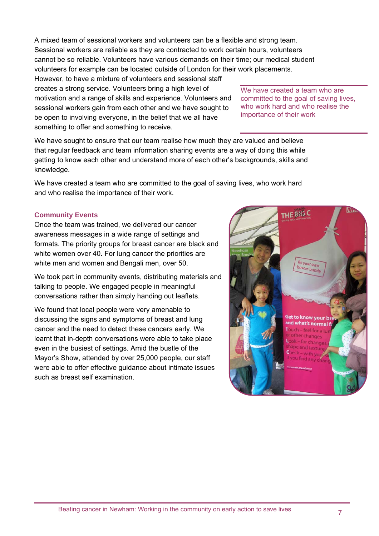A mixed team of sessional workers and volunteers can be a flexible and strong team. Sessional workers are reliable as they are contracted to work certain hours, volunteers cannot be so reliable. Volunteers have various demands on their time; our medical student volunteers for example can be located outside of London for their work placements.

However, to have a mixture of volunteers and sessional staff creates a strong service. Volunteers bring a high level of motivation and a range of skills and experience. Volunteers and sessional workers gain from each other and we have sought to be open to involving everyone, in the belief that we all have something to offer and something to receive.

We have created a team who are committed to the goal of saving lives, who work hard and who realise the importance of their work

We have sought to ensure that our team realise how much they are valued and believe that regular feedback and team information sharing events are a way of doing this while getting to know each other and understand more of each other's backgrounds, skills and knowledge.

We have created a team who are committed to the goal of saving lives, who work hard and who realise the importance of their work.

## **Community Events**

Once the team was trained, we delivered our cancer awareness messages in a wide range of settings and formats. The priority groups for breast cancer are black and white women over 40. For lung cancer the priorities are white men and women and Bengali men, over 50.

We took part in community events, distributing materials and talking to people. We engaged people in meaningful conversations rather than simply handing out leaflets.

We found that local people were very amenable to discussing the signs and symptoms of breast and lung cancer and the need to detect these cancers early. We learnt that in-depth conversations were able to take place even in the busiest of settings. Amid the bustle of the Mayor's Show, attended by over 25,000 people, our staff were able to offer effective guidance about intimate issues such as breast self examination.

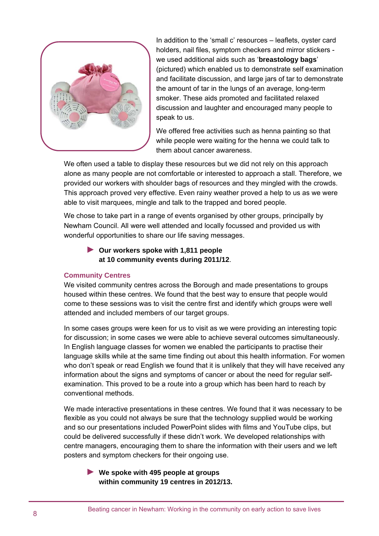

In addition to the 'small c' resources – leaflets, oyster card holders, nail files, symptom checkers and mirror stickers we used additional aids such as '**breastology bags**' (pictured) which enabled us to demonstrate self examination and facilitate discussion, and large jars of tar to demonstrate the amount of tar in the lungs of an average, long-term smoker. These aids promoted and facilitated relaxed discussion and laughter and encouraged many people to speak to us.

We offered free activities such as henna painting so that while people were waiting for the henna we could talk to them about cancer awareness.

We often used a table to display these resources but we did not rely on this approach alone as many people are not comfortable or interested to approach a stall. Therefore, we provided our workers with shoulder bags of resources and they mingled with the crowds. This approach proved very effective. Even rainy weather proved a help to us as we were able to visit marquees, mingle and talk to the trapped and bored people.

We chose to take part in a range of events organised by other groups, principally by Newham Council. All were well attended and locally focussed and provided us with wonderful opportunities to share our life saving messages.

► **Our workers spoke with 1,811 people at 10 community events during 2011/12**.

## **Community Centres**

We visited community centres across the Borough and made presentations to groups housed within these centres. We found that the best way to ensure that people would come to these sessions was to visit the centre first and identify which groups were well attended and included members of our target groups.

In some cases groups were keen for us to visit as we were providing an interesting topic for discussion; in some cases we were able to achieve several outcomes simultaneously. In English language classes for women we enabled the participants to practise their language skills while at the same time finding out about this health information. For women who don't speak or read English we found that it is unlikely that they will have received any information about the signs and symptoms of cancer or about the need for regular selfexamination. This proved to be a route into a group which has been hard to reach by conventional methods.

We made interactive presentations in these centres. We found that it was necessary to be flexible as you could not always be sure that the technology supplied would be working and so our presentations included PowerPoint slides with films and YouTube clips, but could be delivered successfully if these didn't work. We developed relationships with centre managers, encouraging them to share the information with their users and we left posters and symptom checkers for their ongoing use.

► **We spoke with 495 people at groups within community 19 centres in 2012/13.**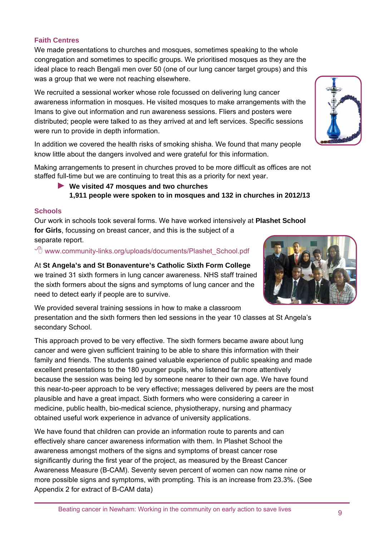## **Faith Centres**

We made presentations to churches and mosques, sometimes speaking to the whole congregation and sometimes to specific groups. We prioritised mosques as they are the ideal place to reach Bengali men over 50 (one of our lung cancer target groups) and this was a group that we were not reaching elsewhere.

We recruited a sessional worker whose role focussed on delivering lung cancer awareness information in mosques. He visited mosques to make arrangements with the Imans to give out information and run awareness sessions. Fliers and posters were distributed; people were talked to as they arrived at and left services. Specific sessions were run to provide in depth information.

In addition we covered the health risks of smoking shisha. We found that many people know little about the dangers involved and were grateful for this information.

Making arrangements to present in churches proved to be more difficult as offices are not staffed full-time but we are continuing to treat this as a priority for next year.

## ► **We visited 47 mosques and two churches 1,911 people were spoken to in mosques and 132 in churches in 2012/13**

## **Schools**

Our work in schools took several forms. We have worked intensively at **Plashet School for Girls**, focussing on breast cancer, and this is the subject of a separate report.

 $\sqrt{\theta}$  www.community-links.org/uploads/documents/Plashet School.pdf

## At **St Angela's and St Bonaventure's Catholic Sixth Form College**

we trained 31 sixth formers in lung cancer awareness. NHS staff trained the sixth formers about the signs and symptoms of lung cancer and the need to detect early if people are to survive.

We provided several training sessions in how to make a classroom presentation and the sixth formers then led sessions in the year 10 classes at St Angela's secondary School.

This approach proved to be very effective. The sixth formers became aware about lung cancer and were given sufficient training to be able to share this information with their family and friends. The students gained valuable experience of public speaking and made excellent presentations to the 180 younger pupils, who listened far more attentively because the session was being led by someone nearer to their own age. We have found this near-to-peer approach to be very effective; messages delivered by peers are the most plausible and have a great impact. Sixth formers who were considering a career in medicine, public health, bio-medical science, physiotherapy, nursing and pharmacy obtained useful work experience in advance of university applications.

We have found that children can provide an information route to parents and can effectively share cancer awareness information with them. In Plashet School the awareness amongst mothers of the signs and symptoms of breast cancer rose significantly during the first year of the project, as measured by the Breast Cancer Awareness Measure (B-CAM). Seventy seven percent of women can now name nine or more possible signs and symptoms, with prompting*.* This is an increase from 23.3%. (See Appendix 2 for extract of B-CAM data)



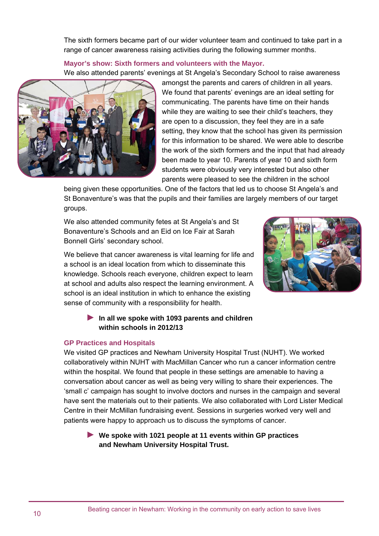The sixth formers became part of our wider volunteer team and continued to take part in a range of cancer awareness raising activities during the following summer months.

## **Mayor's show: Sixth formers and volunteers with the Mayor.**

We also attended parents' evenings at St Angela's Secondary School to raise awareness



amongst the parents and carers of children in all years. We found that parents' evenings are an ideal setting for communicating. The parents have time on their hands while they are waiting to see their child's teachers, they are open to a discussion, they feel they are in a safe setting, they know that the school has given its permission for this information to be shared. We were able to describe the work of the sixth formers and the input that had already been made to year 10. Parents of year 10 and sixth form students were obviously very interested but also other parents were pleased to see the children in the school

being given these opportunities. One of the factors that led us to choose St Angela's and St Bonaventure's was that the pupils and their families are largely members of our target groups.

We also attended community fetes at St Angela's and St Bonaventure's Schools and an Eid on Ice Fair at Sarah Bonnell Girls' secondary school.

We believe that cancer awareness is vital learning for life and a school is an ideal location from which to disseminate this knowledge. Schools reach everyone, children expect to learn at school and adults also respect the learning environment. A school is an ideal institution in which to enhance the existing sense of community with a responsibility for health.



## ► **In all we spoke with 1093 parents and children within schools in 2012/13**

### **GP Practices and Hospitals**

We visited GP practices and Newham University Hospital Trust (NUHT). We worked collaboratively within NUHT with MacMillan Cancer who run a cancer information centre within the hospital. We found that people in these settings are amenable to having a conversation about cancer as well as being very willing to share their experiences. The 'small c' campaign has sought to involve doctors and nurses in the campaign and several have sent the materials out to their patients. We also collaborated with Lord Lister Medical Centre in their McMillan fundraising event. Sessions in surgeries worked very well and patients were happy to approach us to discuss the symptoms of cancer.

## ► **We spoke with 1021 people at 11 events within GP practices and Newham University Hospital Trust.**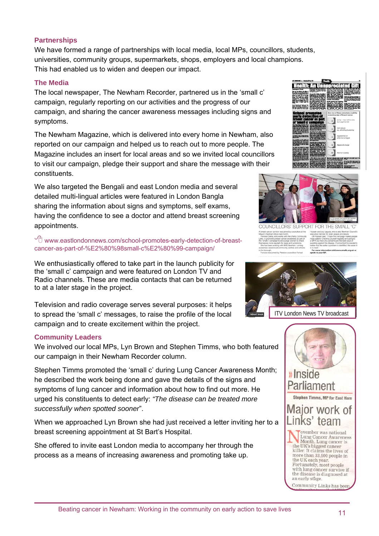## **Partnerships**

We have formed a range of partnerships with local media, local MPs, councillors, students, universities, community groups, supermarkets, shops, employers and local champions. This had enabled us to widen and deepen our impact.

### **The Media**

The local newspaper, The Newham Recorder, partnered us in the 'small c' campaign, regularly reporting on our activities and the progress of our campaign, and sharing the cancer awareness messages including signs and symptoms.

The Newham Magazine, which is delivered into every home in Newham, also reported on our campaign and helped us to reach out to more people. The Magazine includes an insert for local areas and so we invited local councillors to visit our campaign, pledge their support and share the message with their constituents.

We also targeted the Bengali and east London media and several detailed multi-lingual articles were featured in London Bangla sharing the information about signs and symptoms, self exams, having the confidence to see a doctor and attend breast screening appointments.

 $\sqrt{\theta}$  www.eastlondonnews.com/school-promotes-early-detection-of-breastcancer-as-part-of-%E2%80%98small-c%E2%80%99-campaign/

We enthusiastically offered to take part in the launch publicity for the 'small c' campaign and were featured on London TV and Radio channels. These are media contacts that can be returned to at a later stage in the project.

Television and radio coverage serves several purposes: it helps to spread the 'small c' messages, to raise the profile of the local campaign and to create excitement within the project.

### **Community Leaders**

We involved our local MPs, Lyn Brown and Stephen Timms, who both featured our campaign in their Newham Recorder column.

Stephen Timms promoted the 'small c' during Lung Cancer Awareness Month; he described the work being done and gave the details of the signs and symptoms of lung cancer and information about how to find out more. He urged his constituents to detect early: *"The disease can be treated more successfully when spotted sooner*".

When we approached Lyn Brown she had just received a letter inviting her to a breast screening appointment at St Bart's Hospital.

She offered to invite east London media to accompany her through the process as a means of increasing awareness and promoting take up.





wor was joined by councilions at the



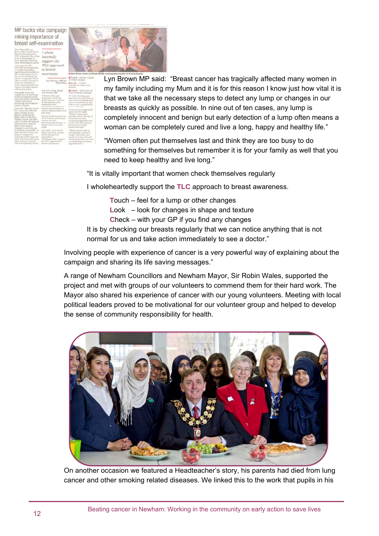MP backs vital campaign raising importance of breast self-examination

> $\frac{\text{MP Lyn}}{\text{swisted Barta}}$  *I whole*na heartedh  $\frac{m}{n}$  of  $\frac{n}{\exp{port}}$  through  $\frac{support}{n}$ TLC appy ital for to breast awareness

Lyn Brown, MP for or other change<br>West Ham Brook - look<br>changes in sha

 $\blacksquare$  Check



Lyn Brown MP said: "Breast cancer has tragically affected many women in my family including my Mum and it is for this reason I know just how vital it is that we take all the necessary steps to detect any lump or changes in our breasts as quickly as possible. In nine out of ten cases, any lump is completely innocent and benign but early detection of a lump often means a woman can be completely cured and live a long, happy and healthy life."

"Women often put themselves last and think they are too busy to do something for themselves but remember it is for your family as well that you need to keep healthy and live long."

"It is vitally important that women check themselves regularly

I wholeheartedly support the **TLC** approach to breast awareness.

**T**ouch – feel for a lump or other changes

**L**ook – look for changes in shape and texture

**C**heck – with your GP if you find any changes

It is by checking our breasts regularly that we can notice anything that is not normal for us and take action immediately to see a doctor."

Involving people with experience of cancer is a very powerful way of explaining about the campaign and sharing its life saving messages."

A range of Newham Councillors and Newham Mayor, Sir Robin Wales, supported the project and met with groups of our volunteers to commend them for their hard work. The Mayor also shared his experience of cancer with our young volunteers. Meeting with local political leaders proved to be motivational for our volunteer group and helped to develop the sense of community responsibility for health.



On another occasion we featured a Headteacher's story, his parents had died from lung cancer and other smoking related diseases. We linked this to the work that pupils in his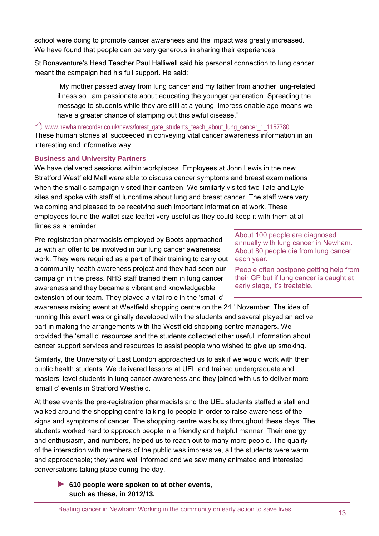school were doing to promote cancer awareness and the impact was greatly increased. We have found that people can be very generous in sharing their experiences.

St Bonaventure's Head Teacher Paul Halliwell said his personal connection to lung cancer meant the campaign had his full support. He said:

"My mother passed away from lung cancer and my father from another lung-related illness so I am passionate about educating the younger generation. Spreading the message to students while they are still at a young, impressionable age means we have a greater chance of stamping out this awful disease."

 $\sqrt{\theta}$  www.newhamrecorder.co.uk/news/forest\_gate\_students\_teach\_about\_lung\_cancer\_1\_1157780

These human stories all succeeded in conveying vital cancer awareness information in an interesting and informative way.

## **Business and University Partners**

We have delivered sessions within workplaces. Employees at John Lewis in the new Stratford Westfield Mall were able to discuss cancer symptoms and breast examinations when the small c campaign visited their canteen. We similarly visited two Tate and Lyle sites and spoke with staff at lunchtime about lung and breast cancer. The staff were very welcoming and pleased to be receiving such important information at work. These employees found the wallet size leaflet very useful as they could keep it with them at all times as a reminder.

Pre-registration pharmacists employed by Boots approached us with an offer to be involved in our lung cancer awareness work. They were required as a part of their training to carry out each year. a community health awareness project and they had seen our campaign in the press. NHS staff trained them in lung cancer awareness and they became a vibrant and knowledgeable extension of our team. They played a vital role in the 'small c'

awareness raising event at Westfield shopping centre on the 24<sup>th</sup> November. The idea of running this event was originally developed with the students and several played an active part in making the arrangements with the Westfield shopping centre managers. We provided the 'small c' resources and the students collected other useful information about cancer support services and resources to assist people who wished to give up smoking.

Similarly, the University of East London approached us to ask if we would work with their public health students. We delivered lessons at UEL and trained undergraduate and masters' level students in lung cancer awareness and they joined with us to deliver more 'small c' events in Stratford Westfield.

At these events the pre-registration pharmacists and the UEL students staffed a stall and walked around the shopping centre talking to people in order to raise awareness of the signs and symptoms of cancer. The shopping centre was busy throughout these days. The students worked hard to approach people in a friendly and helpful manner. Their energy and enthusiasm, and numbers, helped us to reach out to many more people. The quality of the interaction with members of the public was impressive, all the students were warm and approachable; they were well informed and we saw many animated and interested conversations taking place during the day.

► **610 people were spoken to at other events, such as these, in 2012/13.** 

About 100 people are diagnosed annually with lung cancer in Newham. About 80 people die from lung cancer

People often postpone getting help from their GP but if lung cancer is caught at early stage, it's treatable.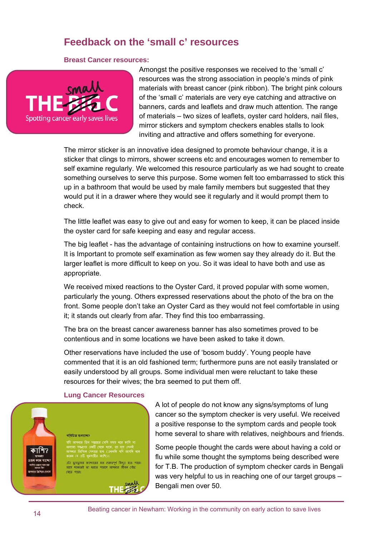## **Feedback on the 'small c' resources**

#### **Breast Cancer resources:**



Amongst the positive responses we received to the 'small c' resources was the strong association in people's minds of pink materials with breast cancer (pink ribbon). The bright pink colours of the 'small c' materials are very eye catching and attractive on banners, cards and leaflets and draw much attention. The range of materials – two sizes of leaflets, oyster card holders, nail files, mirror stickers and symptom checkers enables stalls to look inviting and attractive and offers something for everyone.

The mirror sticker is an innovative idea designed to promote behaviour change, it is a sticker that clings to mirrors, shower screens etc and encourages women to remember to self examine regularly. We welcomed this resource particularly as we had sought to create something ourselves to serve this purpose. Some women felt too embarrassed to stick this up in a bathroom that would be used by male family members but suggested that they would put it in a drawer where they would see it regularly and it would prompt them to check.

The little leaflet was easy to give out and easy for women to keep, it can be placed inside the oyster card for safe keeping and easy and regular access.

The big leaflet - has the advantage of containing instructions on how to examine yourself. It is Important to promote self examination as few women say they already do it. But the larger leaflet is more difficult to keep on you. So it was ideal to have both and use as appropriate.

We received mixed reactions to the Oyster Card, it proved popular with some women, particularly the young. Others expressed reservations about the photo of the bra on the front. Some people don't take an Oyster Card as they would not feel comfortable in using it; it stands out clearly from afar. They find this too embarrassing.

The bra on the breast cancer awareness banner has also sometimes proved to be contentious and in some locations we have been asked to take it down.

Other reservations have included the use of 'bosom buddy'. Young people have commented that it is an old fashioned term; furthermore puns are not easily translated or easily understood by all groups. Some individual men were reluctant to take these resources for their wives; the bra seemed to put them off.

#### **Lung Cancer Resources**

এটা ফুসফুসের ক্যান্সারের মত গুরুত্বপূর্ণ কিছুও হতে পারে <u>आछा शाकालडे ला धवाल भावाल आमनाव जीवन (वाह</u>

।<br>পৰিচিত শুৰাচ্ছে

.<br>साल भारत।



A lot of people do not know any signs/symptoms of lung cancer so the symptom checker is very useful. We received a positive response to the symptom cards and people took home several to share with relatives, neighbours and friends.

Some people thought the cards were about having a cold or flu while some thought the symptoms being described were for T.B. The production of symptom checker cards in Bengali was very helpful to us in reaching one of our target groups – Bengali men over 50.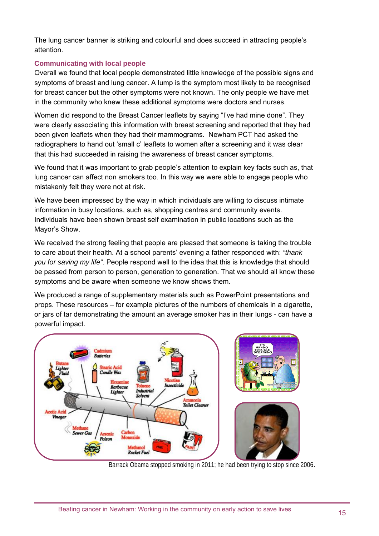The lung cancer banner is striking and colourful and does succeed in attracting people's attention.

## **Communicating with local people**

Overall we found that local people demonstrated little knowledge of the possible signs and symptoms of breast and lung cancer. A lump is the symptom most likely to be recognised for breast cancer but the other symptoms were not known. The only people we have met in the community who knew these additional symptoms were doctors and nurses.

Women did respond to the Breast Cancer leaflets by saying "I've had mine done". They were clearly associating this information with breast screening and reported that they had been given leaflets when they had their mammograms. Newham PCT had asked the radiographers to hand out 'small c' leaflets to women after a screening and it was clear that this had succeeded in raising the awareness of breast cancer symptoms.

We found that it was important to grab people's attention to explain key facts such as, that lung cancer can affect non smokers too. In this way we were able to engage people who mistakenly felt they were not at risk.

We have been impressed by the way in which individuals are willing to discuss intimate information in busy locations, such as, shopping centres and community events. Individuals have been shown breast self examination in public locations such as the Mayor's Show.

We received the strong feeling that people are pleased that someone is taking the trouble to care about their health. At a school parents' evening a father responded with: *"thank you for saving my life"*. People respond well to the idea that this is knowledge that should be passed from person to person, generation to generation. That we should all know these symptoms and be aware when someone we know shows them.

We produced a range of supplementary materials such as PowerPoint presentations and props. These resources – for example pictures of the numbers of chemicals in a cigarette, or jars of tar demonstrating the amount an average smoker has in their lungs - can have a powerful impact.



Barrack Obama stopped smoking in 2011; he had been trying to stop since 2006.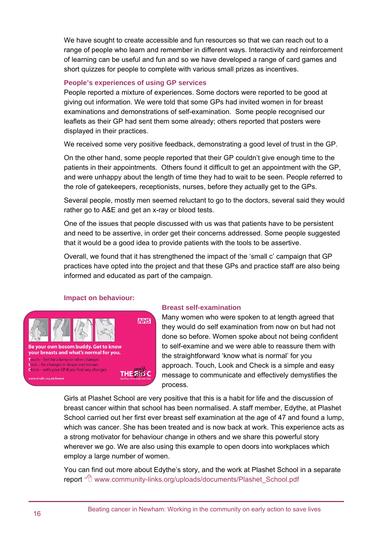We have sought to create accessible and fun resources so that we can reach out to a range of people who learn and remember in different ways. Interactivity and reinforcement of learning can be useful and fun and so we have developed a range of card games and short quizzes for people to complete with various small prizes as incentives.

## **People's experiences of using GP services**

People reported a mixture of experiences. Some doctors were reported to be good at giving out information. We were told that some GPs had invited women in for breast examinations and demonstrations of self-examination. Some people recognised our leaflets as their GP had sent them some already; others reported that posters were displayed in their practices.

We received some very positive feedback, demonstrating a good level of trust in the GP.

On the other hand, some people reported that their GP couldn't give enough time to the patients in their appointments. Others found it difficult to get an appointment with the GP, and were unhappy about the length of time they had to wait to be seen. People referred to the role of gatekeepers, receptionists, nurses, before they actually get to the GPs.

Several people, mostly men seemed reluctant to go to the doctors, several said they would rather go to A&E and get an x-ray or blood tests.

One of the issues that people discussed with us was that patients have to be persistent and need to be assertive, in order get their concerns addressed. Some people suggested that it would be a good idea to provide patients with the tools to be assertive.

Overall, we found that it has strengthened the impact of the 'small c' campaign that GP practices have opted into the project and that these GPs and practice staff are also being informed and educated as part of the campaign.

### **Impact on behaviour:**



### **Breast self-examination**

Many women who were spoken to at length agreed that they would do self examination from now on but had not done so before. Women spoke about not being confident to self-examine and we were able to reassure them with the straightforward 'know what is normal' for you approach. Touch, Look and Check is a simple and easy message to communicate and effectively demystifies the process.

Girls at Plashet School are very positive that this is a habit for life and the discussion of breast cancer within that school has been normalised. A staff member, Edythe, at Plashet School carried out her first ever breast self examination at the age of 47 and found a lump, which was cancer. She has been treated and is now back at work. This experience acts as a strong motivator for behaviour change in others and we share this powerful story wherever we go. We are also using this example to open doors into workplaces which employ a large number of women.

You can find out more about Edythe's story, and the work at Plashet School in a separate report  $\partial$  www.community-links.org/uploads/documents/Plashet\_School.pdf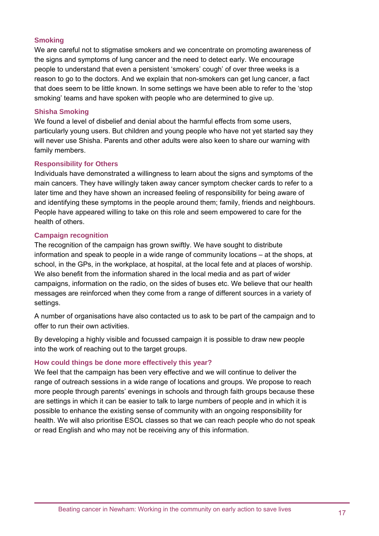### **Smoking**

We are careful not to stigmatise smokers and we concentrate on promoting awareness of the signs and symptoms of lung cancer and the need to detect early. We encourage people to understand that even a persistent 'smokers' cough' of over three weeks is a reason to go to the doctors. And we explain that non-smokers can get lung cancer, a fact that does seem to be little known. In some settings we have been able to refer to the 'stop smoking' teams and have spoken with people who are determined to give up.

### **Shisha Smoking**

We found a level of disbelief and denial about the harmful effects from some users, particularly young users. But children and young people who have not yet started say they will never use Shisha. Parents and other adults were also keen to share our warning with family members.

#### **Responsibility for Others**

Individuals have demonstrated a willingness to learn about the signs and symptoms of the main cancers. They have willingly taken away cancer symptom checker cards to refer to a later time and they have shown an increased feeling of responsibility for being aware of and identifying these symptoms in the people around them; family, friends and neighbours. People have appeared willing to take on this role and seem empowered to care for the health of others.

### **Campaign recognition**

The recognition of the campaign has grown swiftly. We have sought to distribute information and speak to people in a wide range of community locations – at the shops, at school, in the GPs, in the workplace, at hospital, at the local fete and at places of worship. We also benefit from the information shared in the local media and as part of wider campaigns, information on the radio, on the sides of buses etc. We believe that our health messages are reinforced when they come from a range of different sources in a variety of settings.

A number of organisations have also contacted us to ask to be part of the campaign and to offer to run their own activities.

By developing a highly visible and focussed campaign it is possible to draw new people into the work of reaching out to the target groups.

### **How could things be done more effectively this year?**

We feel that the campaign has been very effective and we will continue to deliver the range of outreach sessions in a wide range of locations and groups. We propose to reach more people through parents' evenings in schools and through faith groups because these are settings in which it can be easier to talk to large numbers of people and in which it is possible to enhance the existing sense of community with an ongoing responsibility for health. We will also prioritise ESOL classes so that we can reach people who do not speak or read English and who may not be receiving any of this information.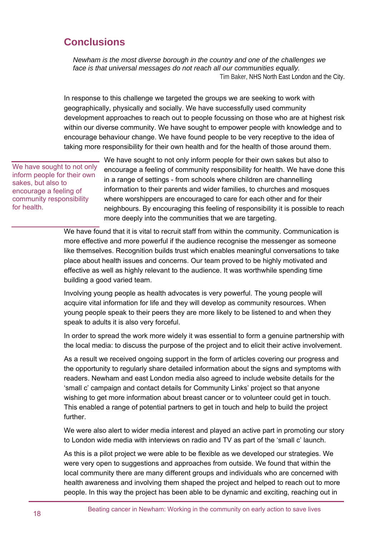## **Conclusions**

*Newham is the most diverse borough in the country and one of the challenges we face is that universal messages do not reach all our communities equally.*  Tim Baker, NHS North East London and the City.

In response to this challenge we targeted the groups we are seeking to work with geographically, physically and socially. We have successfully used community development approaches to reach out to people focussing on those who are at highest risk within our diverse community. We have sought to empower people with knowledge and to encourage behaviour change. We have found people to be very receptive to the idea of taking more responsibility for their own health and for the health of those around them.

We have sought to not only inform people for their own sakes, but also to encourage a feeling of community responsibility for health.

We have sought to not only inform people for their own sakes but also to encourage a feeling of community responsibility for health. We have done this in a range of settings - from schools where children are channelling information to their parents and wider families, to churches and mosques where worshippers are encouraged to care for each other and for their neighbours. By encouraging this feeling of responsibility it is possible to reach more deeply into the communities that we are targeting.

We have found that it is vital to recruit staff from within the community. Communication is more effective and more powerful if the audience recognise the messenger as someone like themselves. Recognition builds trust which enables meaningful conversations to take place about health issues and concerns. Our team proved to be highly motivated and effective as well as highly relevant to the audience. It was worthwhile spending time building a good varied team.

Involving young people as health advocates is very powerful. The young people will acquire vital information for life and they will develop as community resources. When young people speak to their peers they are more likely to be listened to and when they speak to adults it is also very forceful.

In order to spread the work more widely it was essential to form a genuine partnership with the local media: to discuss the purpose of the project and to elicit their active involvement.

As a result we received ongoing support in the form of articles covering our progress and the opportunity to regularly share detailed information about the signs and symptoms with readers. Newham and east London media also agreed to include website details for the 'small c' campaign and contact details for Community Links' project so that anyone wishing to get more information about breast cancer or to volunteer could get in touch. This enabled a range of potential partners to get in touch and help to build the project further.

We were also alert to wider media interest and played an active part in promoting our story to London wide media with interviews on radio and TV as part of the 'small c' launch.

As this is a pilot project we were able to be flexible as we developed our strategies. We were very open to suggestions and approaches from outside. We found that within the local community there are many different groups and individuals who are concerned with health awareness and involving them shaped the project and helped to reach out to more people. In this way the project has been able to be dynamic and exciting, reaching out in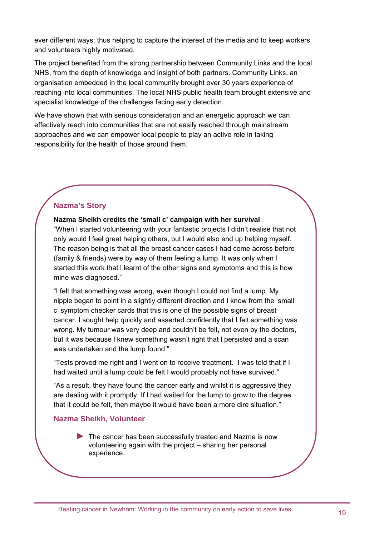ever different ways; thus helping to capture the interest of the media and to keep workers and volunteers highly motivated.

The project benefited from the strong partnership between Community Links and the local NHS, from the depth of knowledge and insight of both partners. Community Links, an organisation embedded in the local community brought over 30 years experience of reaching into local communities. The local NHS public health team brought extensive and specialist knowledge of the challenges facing early detection.

We have shown that with serious consideration and an energetic approach we can effectively reach into communities that are not easily reached through mainstream approaches and we can empower local people to play an active role in taking responsibility for the health of those around them.

## **Nazma's Story**

**Nazma Sheikh credits the 'small c' campaign with her survival**.

"When l started volunteering with your fantastic projects l didn't realise that not only would l feel great helping others, but l would also end up helping myself. The reason being is that all the breast cancer cases l had come across before (family & friends) were by way of them feeling a lump. It was only when l started this work that l learnt of the other signs and symptoms and this is how mine was diagnosed."

"I felt that something was wrong, even though I could not find a lump. My nipple began to point in a slightly different direction and I know from the 'small c' symptom checker cards that this is one of the possible signs of breast cancer. I sought help quickly and asserted confidently that I felt something was wrong. My tumour was very deep and couldn't be felt, not even by the doctors, but it was because l knew something wasn't right that l persisted and a scan was undertaken and the lump found."

"Tests proved me right and I went on to receive treatment. I was told that if I had waited until a lump could be felt I would probably not have survived."

"As a result, they have found the cancer early and whilst it is aggressive they are dealing with it promptly. If l had waited for the lump to grow to the degree that it could be felt, then maybe it would have been a more dire situation."

## **Nazma Sheikh, Volunteer**

► The cancer has been successfully treated and Nazma is now volunteering again with the project – sharing her personal experience.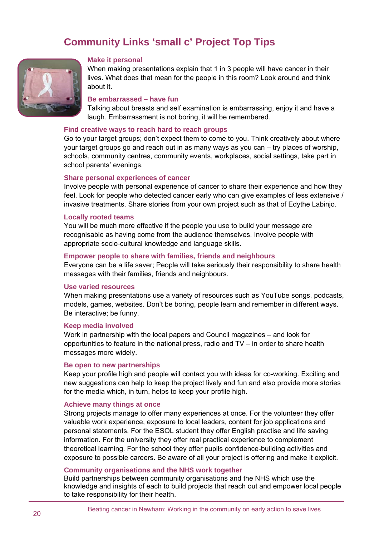## **Community Links 'small c' Project Top Tips**



#### **Make it personal**

When making presentations explain that 1 in 3 people will have cancer in their lives. What does that mean for the people in this room? Look around and think about it.

#### **Be embarrassed – have fun**

Talking about breasts and self examination is embarrassing, enjoy it and have a laugh. Embarrassment is not boring, it will be remembered.

#### **Find creative ways to reach hard to reach groups**

Go to your target groups; don't expect them to come to you. Think creatively about where your target groups go and reach out in as many ways as you can – try places of worship, schools, community centres, community events, workplaces, social settings, take part in school parents' evenings.

#### **Share personal experiences of cancer**

Involve people with personal experience of cancer to share their experience and how they feel. Look for people who detected cancer early who can give examples of less extensive / invasive treatments. Share stories from your own project such as that of Edythe Labinjo.

#### **Locally rooted teams**

You will be much more effective if the people you use to build your message are recognisable as having come from the audience themselves. Involve people with appropriate socio-cultural knowledge and language skills.

#### **Empower people to share with families, friends and neighbours**

Everyone can be a life saver; People will take seriously their responsibility to share health messages with their families, friends and neighbours.

#### **Use varied resources**

When making presentations use a variety of resources such as YouTube songs, podcasts, models, games, websites. Don't be boring, people learn and remember in different ways. Be interactive; be funny.

#### **Keep media involved**

Work in partnership with the local papers and Council magazines – and look for opportunities to feature in the national press, radio and TV – in order to share health messages more widely.

#### **Be open to new partnerships**

Keep your profile high and people will contact you with ideas for co-working. Exciting and new suggestions can help to keep the project lively and fun and also provide more stories for the media which, in turn, helps to keep your profile high.

#### **Achieve many things at once**

Strong projects manage to offer many experiences at once. For the volunteer they offer valuable work experience, exposure to local leaders, content for job applications and personal statements. For the ESOL student they offer English practise and life saving information. For the university they offer real practical experience to complement theoretical learning. For the school they offer pupils confidence-building activities and exposure to possible careers. Be aware of all your project is offering and make it explicit.

#### **Community organisations and the NHS work together**

Build partnerships between community organisations and the NHS which use the knowledge and insights of each to build projects that reach out and empower local people to take responsibility for their health.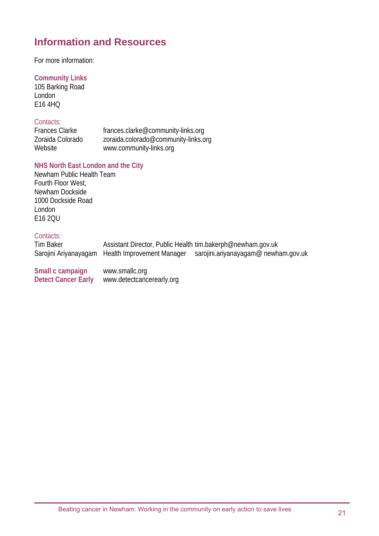## **Information and Resources**

For more information:

## **Community Links**

105 Barking Road London E16 4HQ

## Contacts:

Frances Clarke frances.clarke@community-links.org Zoraida Colorado zoraida.colorado@community-links.org Website www.community-links.org

## **NHS North East London and the City**

Newham Public Health Team Fourth Floor West, Newham Dockside 1000 Dockside Road London E16 2QU

## Contacts:

| Tim Baker                                      | Assistant Director, Public Health tim.bakerph@newham.gov.uk<br>Sarojini Ariyanayagam Health Improvement Manager | sarojini.ariyanayagam@ newham.gov.uk |
|------------------------------------------------|-----------------------------------------------------------------------------------------------------------------|--------------------------------------|
| Small c campaign<br><b>Detect Cancer Early</b> | www.smallc.org<br>www.detectcancerearly.org                                                                     |                                      |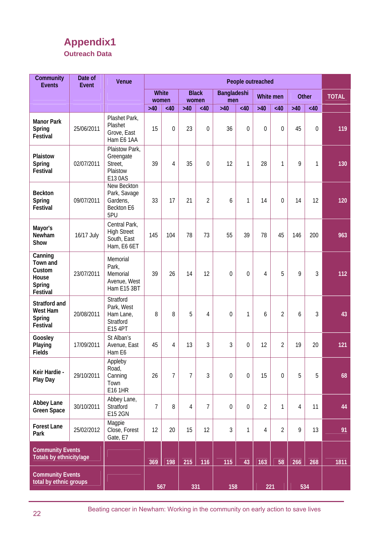## **Appendix1 Outreach Data**

| Community<br><b>Events</b>                                   | Date of<br>Event | Venue                                                             | People outreached<br><b>White</b><br><b>Black</b><br>Bangladeshi<br>Other<br>White men<br>men<br>women<br>women<br>$>40$<br>$>40$<br><40<br>$>40$<br>$>40$<br><40<br>$>40$<br><40<br><40<br><40<br>15<br>$\overline{0}$<br>36<br>23<br>0<br>$\theta$<br>$\theta$<br>$\theta$<br>45<br>0<br>39<br>35<br>12<br>9<br>4<br>0<br>1<br>28<br>1<br>1<br>$\overline{2}$<br>33<br>17<br>21<br>14<br>14<br>12<br>1<br>0<br>6<br>145<br>78<br>73<br>55<br>39<br>78<br>45<br>200<br>104<br>146<br>5<br>39<br>14<br>12<br>9<br>3<br>26<br>$\theta$<br>$\theta$<br>4<br>5<br>$\overline{2}$<br>8<br>4<br>3<br>8<br>$\theta$<br>1<br>6<br>6<br>3<br>3<br>$\overline{2}$<br>19<br>45<br>4<br>13<br>$\Omega$<br>12<br>20<br>$\overline{7}$<br>$\overline{7}$<br>3<br>$\mathbf 0$<br>5<br>5<br>26<br>$\mathbf 0$<br>15<br>$\mathbf 0$ |     |     |                |             |             |                |                |     |     |              |
|--------------------------------------------------------------|------------------|-------------------------------------------------------------------|---------------------------------------------------------------------------------------------------------------------------------------------------------------------------------------------------------------------------------------------------------------------------------------------------------------------------------------------------------------------------------------------------------------------------------------------------------------------------------------------------------------------------------------------------------------------------------------------------------------------------------------------------------------------------------------------------------------------------------------------------------------------------------------------------------------------|-----|-----|----------------|-------------|-------------|----------------|----------------|-----|-----|--------------|
|                                                              |                  |                                                                   |                                                                                                                                                                                                                                                                                                                                                                                                                                                                                                                                                                                                                                                                                                                                                                                                                     |     |     |                |             |             |                |                |     |     | <b>TOTAL</b> |
|                                                              |                  |                                                                   |                                                                                                                                                                                                                                                                                                                                                                                                                                                                                                                                                                                                                                                                                                                                                                                                                     |     |     |                |             |             |                |                |     |     |              |
| <b>Manor Park</b><br>Spring<br>Festival                      | 25/06/2011       | Plashet Park,<br>Plashet<br>Grove, East<br>Ham E6 1AA             |                                                                                                                                                                                                                                                                                                                                                                                                                                                                                                                                                                                                                                                                                                                                                                                                                     |     |     |                |             |             |                |                |     |     | 119          |
| Plaistow<br>Spring<br>Festival                               | 02/07/2011       | Plaistow Park,<br>Greengate<br>Street,<br>Plaistow<br>E13 0AS     |                                                                                                                                                                                                                                                                                                                                                                                                                                                                                                                                                                                                                                                                                                                                                                                                                     |     |     |                |             |             |                |                |     |     | 130          |
| <b>Beckton</b><br>Spring<br>Festival                         | 09/07/2011       | New Beckton<br>Park, Savage<br>Gardens,<br>Beckton E6<br>5PU      |                                                                                                                                                                                                                                                                                                                                                                                                                                                                                                                                                                                                                                                                                                                                                                                                                     |     |     |                |             |             |                |                |     |     | 120          |
| Mayor's<br><b>Newham</b><br>Show                             | 16/17 July       | Central Park,<br><b>High Street</b><br>South, East<br>Ham, E6 6ET |                                                                                                                                                                                                                                                                                                                                                                                                                                                                                                                                                                                                                                                                                                                                                                                                                     |     |     |                |             |             |                |                |     |     | 963          |
| Canning<br>Town and<br>Custom<br>House<br>Spring<br>Festival | 23/07/2011       | Memorial<br>Park,<br>Memorial<br>Avenue, West<br>Ham E15 3BT      |                                                                                                                                                                                                                                                                                                                                                                                                                                                                                                                                                                                                                                                                                                                                                                                                                     |     |     |                |             |             |                |                |     |     | 112          |
| Stratford and<br>West Ham<br>Spring<br>Festival              | 20/08/2011       | Stratford<br>Park, West<br>Ham Lane,<br>Stratford<br>E15 4PT      |                                                                                                                                                                                                                                                                                                                                                                                                                                                                                                                                                                                                                                                                                                                                                                                                                     |     |     |                |             |             |                |                |     |     | 43           |
| Goosley<br>Playing<br><b>Fields</b>                          | 17/09/2011       | St Alban's<br>Avenue, East<br>Ham E6                              |                                                                                                                                                                                                                                                                                                                                                                                                                                                                                                                                                                                                                                                                                                                                                                                                                     |     |     |                |             |             |                |                |     |     | 121          |
| Keir Hardie -<br>Play Day                                    | 29/10/2011       | Appleby<br>Road,<br>Canning<br>Town<br>E16 1HR                    |                                                                                                                                                                                                                                                                                                                                                                                                                                                                                                                                                                                                                                                                                                                                                                                                                     |     |     |                |             |             |                |                |     |     | 68           |
| Abbey Lane<br><b>Green Space</b>                             | 30/10/2011       | Abbey Lane,<br>Stratford<br>E15 2GN                               | $\overline{7}$                                                                                                                                                                                                                                                                                                                                                                                                                                                                                                                                                                                                                                                                                                                                                                                                      | 8   | 4   | $\overline{7}$ | $\mathbf 0$ | $\mathbf 0$ | $\overline{2}$ | 1              | 4   | 11  | 44           |
| <b>Forest Lane</b><br>Park                                   | 25/02/2012       | Magpie<br>Close, Forest<br>Gate, E7                               | 12                                                                                                                                                                                                                                                                                                                                                                                                                                                                                                                                                                                                                                                                                                                                                                                                                  | 20  | 15  | 12             | 3           | 1           | 4              | $\overline{2}$ | 9   | 13  | 91           |
| <b>Community Events</b><br>Totals by ethnicity/age           |                  |                                                                   | 369                                                                                                                                                                                                                                                                                                                                                                                                                                                                                                                                                                                                                                                                                                                                                                                                                 | 198 | 215 | 116            | 115         | 43          | 163            | 58             | 266 | 268 | 1811         |
| <b>Community Events</b><br>total by ethnic groups            |                  |                                                                   |                                                                                                                                                                                                                                                                                                                                                                                                                                                                                                                                                                                                                                                                                                                                                                                                                     | 567 | 331 |                | 158         |             | 221            |                |     | 534 |              |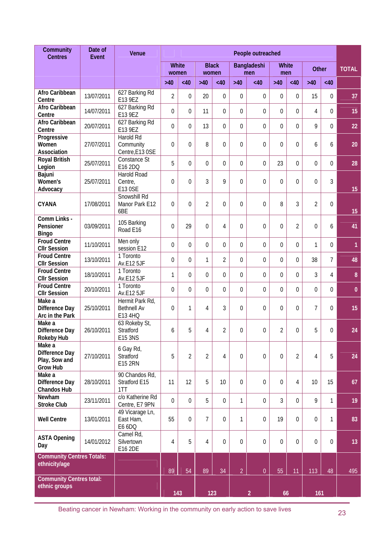| Community<br><b>Centres</b>                                  | Date of<br><b>Event</b> | Venue                                            | People outreached<br>White<br><b>Black</b><br><b>White</b><br>Bangladeshi<br><b>Other</b><br>women<br>women<br>men<br>men<br>$>40$<br><40<br><40<br><40<br>$>40$<br><40<br>$>40$<br>$>40$<br>$>40$<br><40<br>2<br>$\Omega$<br>20<br>$\overline{0}$<br>$\overline{0}$<br>$\Omega$<br>$\theta$<br>$\overline{0}$<br>15<br>0<br>$\theta$<br>$\Omega$<br>$\theta$<br>$\theta$<br>$\theta$<br>$\theta$<br>$\Omega$<br>4<br>11<br>0<br>$\overline{0}$<br>$\overline{0}$<br>$\overline{0}$<br>9<br>$\theta$<br>13<br>$\overline{0}$<br>$\theta$<br>$\theta$<br>0<br>$\theta$<br>$\theta$<br>8<br>$\theta$<br>$\theta$<br>$\theta$<br>$\theta$<br>$\mathbf 0$<br>6<br>6<br>5<br>0<br>23<br>$\overline{0}$<br>$\theta$<br>$\overline{0}$<br>$\overline{0}$<br>$\theta$<br>$\Omega$<br>0 |          |                |                 |                  |                  |                |                  |                  |             |              |
|--------------------------------------------------------------|-------------------------|--------------------------------------------------|--------------------------------------------------------------------------------------------------------------------------------------------------------------------------------------------------------------------------------------------------------------------------------------------------------------------------------------------------------------------------------------------------------------------------------------------------------------------------------------------------------------------------------------------------------------------------------------------------------------------------------------------------------------------------------------------------------------------------------------------------------------------------------|----------|----------------|-----------------|------------------|------------------|----------------|------------------|------------------|-------------|--------------|
|                                                              |                         |                                                  |                                                                                                                                                                                                                                                                                                                                                                                                                                                                                                                                                                                                                                                                                                                                                                                |          |                |                 |                  |                  |                |                  |                  |             | <b>TOTAL</b> |
|                                                              |                         |                                                  |                                                                                                                                                                                                                                                                                                                                                                                                                                                                                                                                                                                                                                                                                                                                                                                |          |                |                 |                  |                  |                |                  |                  |             |              |
| Afro Caribbean<br>Centre                                     | 13/07/2011              | 627 Barking Rd<br>E13 9EZ                        |                                                                                                                                                                                                                                                                                                                                                                                                                                                                                                                                                                                                                                                                                                                                                                                |          |                |                 |                  |                  |                |                  |                  |             | 37           |
| Afro Caribbean<br>Centre                                     | 14/07/2011              | 627 Barking Rd<br>E13 9EZ                        |                                                                                                                                                                                                                                                                                                                                                                                                                                                                                                                                                                                                                                                                                                                                                                                |          |                |                 |                  |                  |                |                  |                  |             | 15           |
| Afro Caribbean<br>Centre                                     | 20/07/2011              | 627 Barking Rd<br>E13 9EZ                        |                                                                                                                                                                                                                                                                                                                                                                                                                                                                                                                                                                                                                                                                                                                                                                                |          |                |                 |                  |                  |                |                  |                  |             | 22           |
| Progressive<br>Women<br>Association                          | 27/07/2011              | Harold Rd<br>Community<br>Centre, E13 OSE        |                                                                                                                                                                                                                                                                                                                                                                                                                                                                                                                                                                                                                                                                                                                                                                                |          |                |                 |                  |                  |                |                  |                  |             | 20           |
| <b>Royal British</b><br>Legion                               | 25/07/2011              | Constance St<br>E16 2DQ                          |                                                                                                                                                                                                                                                                                                                                                                                                                                                                                                                                                                                                                                                                                                                                                                                |          |                |                 |                  |                  |                |                  |                  |             | 28           |
| Bajuni<br>Women's<br>Advocacy                                | 25/07/2011              | Harold Road<br>Centre,<br>E13 0SE                | $\mathbf 0$                                                                                                                                                                                                                                                                                                                                                                                                                                                                                                                                                                                                                                                                                                                                                                    | $\theta$ | 3              | 9               | $\theta$         | $\mathbf 0$      | $\mathbf{0}$   | 0                | $\boldsymbol{0}$ | 3           | 15           |
| <b>CYANA</b>                                                 | 17/08/2011              | Snowshill Rd<br>Manor Park E12<br>6BE            | $\theta$                                                                                                                                                                                                                                                                                                                                                                                                                                                                                                                                                                                                                                                                                                                                                                       | $\theta$ | $\overline{2}$ | $\theta$        | $\theta$         | $\mathbf 0$      | 8              | 3                | $\overline{2}$   | 0           | 15           |
| Comm Links -<br>Pensioner<br><b>Bingo</b>                    | 03/09/2011              | 105 Barking<br>Road E16                          | $\mathbf 0$                                                                                                                                                                                                                                                                                                                                                                                                                                                                                                                                                                                                                                                                                                                                                                    | 29       | $\overline{0}$ | 4               | $\theta$         | $\mathbf 0$      | $\overline{0}$ | $\overline{2}$   | $\overline{0}$   | 6           | 41           |
| <b>Froud Centre</b><br><b>CIIr Session</b>                   | 11/10/2011              | Men only<br>session E12                          | 0                                                                                                                                                                                                                                                                                                                                                                                                                                                                                                                                                                                                                                                                                                                                                                              | $\theta$ | $\Omega$       | $\theta$        | $\Omega$         | $\theta$         | $\theta$       | 0                | 1                | 0           | $\mathbf{1}$ |
| <b>Froud Centre</b><br><b>CIIr Session</b>                   | 13/10/2011              | 1 Toronto<br>Av.E12 5JF                          | 0                                                                                                                                                                                                                                                                                                                                                                                                                                                                                                                                                                                                                                                                                                                                                                              | $\theta$ | 1              | $\overline{2}$  | $\theta$         | 0                | $\theta$       | 0                | 38               | 7           | 48           |
| <b>Froud Centre</b><br><b>CIIr Session</b>                   | 18/10/2011              | 1 Toronto<br>Av.E12 5JF                          | 1                                                                                                                                                                                                                                                                                                                                                                                                                                                                                                                                                                                                                                                                                                                                                                              | $\Omega$ | $\overline{0}$ | $\theta$        | $\theta$         | $\theta$         | $\theta$       | $\Omega$         | 3                | 4           | $\bf{8}$     |
| <b>Froud Centre</b><br><b>CIIr Session</b>                   | 20/10/2011              | 1 Toronto<br>Av.E12 5JF                          | $\theta$                                                                                                                                                                                                                                                                                                                                                                                                                                                                                                                                                                                                                                                                                                                                                                       | $\theta$ | $\theta$       | $\theta$        | $\theta$         | $\theta$         | $\theta$       | 0                | $\theta$         | 0           | $\mathbf{0}$ |
| Make a<br>Difference Day<br>Arc in the Park                  | 25/10/2011              | Hermit Park Rd,<br><b>Bethnell Av</b><br>E13 4HQ | 0                                                                                                                                                                                                                                                                                                                                                                                                                                                                                                                                                                                                                                                                                                                                                                              | 1        | 4              | 3               | $\theta$         | 0                | $\overline{0}$ | $\overline{0}$   | $\overline{7}$   | 0           | 15           |
| Make a<br>Difference Day<br><b>Rokeby Hub</b>                | 26/10/2011              | 63 Rokeby St,<br>Stratford<br>E15 3NS            | 6                                                                                                                                                                                                                                                                                                                                                                                                                                                                                                                                                                                                                                                                                                                                                                              | 5        | 4              | $\overline{2}$  | $\boldsymbol{0}$ | 0                | $\overline{2}$ | $\boldsymbol{0}$ | 5                | 0           | 24           |
| Make a<br>Difference Day<br>Play, Sow and<br><b>Grow Hub</b> | 27/10/2011              | 6 Gay Rd,<br>Stratford<br><b>E15 2RN</b>         | 5                                                                                                                                                                                                                                                                                                                                                                                                                                                                                                                                                                                                                                                                                                                                                                              | 2        | $\overline{2}$ | 4               | $\mathbf 0$      | $\mathbf 0$      | 0              | $\overline{2}$   | 4                | 5           | 24           |
| Make a<br>Difference Day<br><b>Chandos Hub</b>               | 28/10/2011              | 90 Chandos Rd,<br>Stratford E15<br>1TT           | 11                                                                                                                                                                                                                                                                                                                                                                                                                                                                                                                                                                                                                                                                                                                                                                             | 12       | 5              | 10 <sup>°</sup> | $\overline{0}$   | $\boldsymbol{0}$ | $\mathbf 0$    | 4                | 10               | 15          | 67           |
| Newham<br><b>Stroke Club</b>                                 | 23/11/2011              | c/o Katherine Rd<br>Centre, E7 9PN               | $\mathbf 0$                                                                                                                                                                                                                                                                                                                                                                                                                                                                                                                                                                                                                                                                                                                                                                    | $\theta$ | 5              | $\overline{0}$  | 1                | $\overline{0}$   | 3              | $\overline{0}$   | 9                | 1           | 19           |
| <b>Well Centre</b>                                           | 13/01/2011              | 49 Vicarage Ln,<br>East Ham,<br>E6 6DQ           | 55                                                                                                                                                                                                                                                                                                                                                                                                                                                                                                                                                                                                                                                                                                                                                                             | $\theta$ | $\overline{7}$ | $\overline{0}$  | 1                | $\overline{0}$   | 19             | $\mathbf 0$      | $\theta$         | 1           | 83           |
| <b>ASTA Opening</b><br>Day                                   | 14/01/2012              | Camel Rd,<br>Silvertown<br>E16 2DE               | 4                                                                                                                                                                                                                                                                                                                                                                                                                                                                                                                                                                                                                                                                                                                                                                              | 5        | 4              | $\overline{0}$  | $\overline{0}$   | $\mathbf 0$      | $\overline{0}$ | $\overline{0}$   | $\overline{0}$   | $\mathbf 0$ | 13           |
| <b>Community Centres Totals:</b><br>ethnicity/age            |                         |                                                  |                                                                                                                                                                                                                                                                                                                                                                                                                                                                                                                                                                                                                                                                                                                                                                                |          |                |                 |                  |                  |                |                  |                  |             |              |
| <b>Community Centres total:</b>                              |                         |                                                  | 89                                                                                                                                                                                                                                                                                                                                                                                                                                                                                                                                                                                                                                                                                                                                                                             | 54       | 89             | 34              | $\overline{2}$   | $\boldsymbol{0}$ | 55             | 11               | 113              | 48          | 495          |
| ethnic groups                                                |                         |                                                  |                                                                                                                                                                                                                                                                                                                                                                                                                                                                                                                                                                                                                                                                                                                                                                                | 143      | 123            |                 |                  | $\overline{2}$   | 66             |                  | 161              |             |              |

Beating cancer in Newham: Working in the community on early action to save lives 23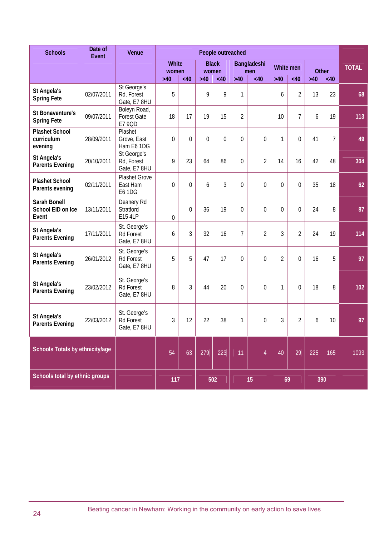| <b>Schools</b>                                 | Date of<br>Event | Venue                                            | People outreached<br><b>White</b><br><b>Black</b><br>Bangladeshi<br><b>White men</b><br>Other<br>men<br>women<br>women<br>$>40$<br>$>40$<br>$>40$<br>$>40$<br>$>40$<br><40<br><40<br><40<br><40<br><40<br>9<br>9<br>$\overline{2}$<br>5<br>1<br>13<br>23<br>6<br>$\overline{2}$<br>17<br>$\overline{7}$<br>18<br>19<br>15<br>19<br>10<br>6<br>$\Omega$<br>$\overline{0}$<br>1<br>$\overline{7}$<br>$\theta$<br>$\theta$<br>$\theta$<br>0<br>0<br>41<br>9<br>23<br>86<br>$\mathbf 0$<br>2<br>42<br>64<br>14<br>16<br>48 |          |     |     |                |                  |                |                |     |     |              |
|------------------------------------------------|------------------|--------------------------------------------------|------------------------------------------------------------------------------------------------------------------------------------------------------------------------------------------------------------------------------------------------------------------------------------------------------------------------------------------------------------------------------------------------------------------------------------------------------------------------------------------------------------------------|----------|-----|-----|----------------|------------------|----------------|----------------|-----|-----|--------------|
|                                                |                  |                                                  |                                                                                                                                                                                                                                                                                                                                                                                                                                                                                                                        |          |     |     |                |                  |                |                |     |     | <b>TOTAL</b> |
|                                                |                  |                                                  |                                                                                                                                                                                                                                                                                                                                                                                                                                                                                                                        |          |     |     |                |                  |                |                |     |     |              |
| St Angela's<br><b>Spring Fete</b>              | 02/07/2011       | St George's<br>Rd, Forest<br>Gate, E7 8HU        |                                                                                                                                                                                                                                                                                                                                                                                                                                                                                                                        |          |     |     |                |                  |                |                |     |     | 68           |
| St Bonaventure's<br><b>Spring Fete</b>         | 09/07/2011       | Boleyn Road,<br><b>Forest Gate</b><br>E7 9QD     |                                                                                                                                                                                                                                                                                                                                                                                                                                                                                                                        |          |     |     |                |                  |                |                |     |     | 113          |
| <b>Plashet School</b><br>curriculum<br>evening | 28/09/2011       | Plashet<br>Grove, East<br>Ham E6 1DG             |                                                                                                                                                                                                                                                                                                                                                                                                                                                                                                                        |          |     |     |                |                  |                |                |     |     | 49           |
| St Angela's<br><b>Parents Evening</b>          | 20/10/2011       | St George's<br>Rd, Forest<br>Gate, E7 8HU        |                                                                                                                                                                                                                                                                                                                                                                                                                                                                                                                        |          |     |     |                |                  |                |                |     |     | 304          |
| <b>Plashet School</b><br>Parents evening       | 02/11/2011       | <b>Plashet Grove</b><br>East Ham<br>E6 1DG       | $\boldsymbol{0}$                                                                                                                                                                                                                                                                                                                                                                                                                                                                                                       | $\theta$ | 6   | 3   | $\mathbf 0$    | 0                | $\theta$       | 0              | 35  | 18  | 62           |
| Sarah Bonell<br>School EID on Ice<br>Event     | 13/11/2011       | Deanery Rd<br>Stratford<br>E15 4LP               | 0                                                                                                                                                                                                                                                                                                                                                                                                                                                                                                                      | $\Omega$ | 36  | 19  | $\overline{0}$ | 0                | 0              | 0              | 24  | 8   | 87           |
| St Angela's<br><b>Parents Evening</b>          | 17/11/2011       | St. George's<br><b>Rd Forest</b><br>Gate, E7 8HU | 6                                                                                                                                                                                                                                                                                                                                                                                                                                                                                                                      | 3        | 32  | 16  | $\overline{7}$ | $\overline{2}$   | 3              | $\overline{2}$ | 24  | 19  | 114          |
| St Angela's<br><b>Parents Evening</b>          | 26/01/2012       | St. George's<br><b>Rd Forest</b><br>Gate, E7 8HU | 5                                                                                                                                                                                                                                                                                                                                                                                                                                                                                                                      | 5        | 47  | 17  | $\overline{0}$ | $\mathbf 0$      | $\overline{2}$ | 0              | 16  | 5   | 97           |
| St Angela's<br><b>Parents Evening</b>          | 23/02/2012       | St. George's<br><b>Rd Forest</b><br>Gate, E7 8HU | 8                                                                                                                                                                                                                                                                                                                                                                                                                                                                                                                      | 3        | 44  | 20  | $\mathbf 0$    | $\boldsymbol{0}$ | 1              | 0              | 18  | 8   | 102          |
| St Angela's<br><b>Parents Evening</b>          | 22/03/2012       | St. George's<br><b>Rd Forest</b><br>Gate, E7 8HU | 3                                                                                                                                                                                                                                                                                                                                                                                                                                                                                                                      | 12       | 22  | 38  | $\mathbf{1}$   | 0                | 3              | $\overline{2}$ | 6   | 10  | 97           |
| Schools Totals by ethnicity/age                |                  |                                                  | 54                                                                                                                                                                                                                                                                                                                                                                                                                                                                                                                     | 63       | 279 | 223 | 11             | $\overline{4}$   | 40             | 29             | 225 | 165 | 1093         |
| Schools total by ethnic groups                 |                  |                                                  | 117                                                                                                                                                                                                                                                                                                                                                                                                                                                                                                                    |          |     | 502 |                | 15               |                | 69             |     | 390 |              |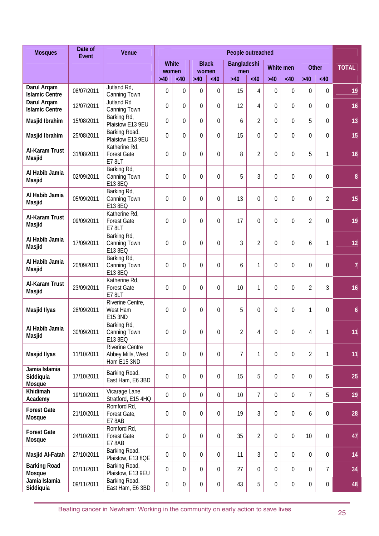| <b>Mosques</b>                       | Date of<br>Event | Venue                                               | People outreached |                  |                  |                       |                 |                  |                  |                  |                |                  |                  |
|--------------------------------------|------------------|-----------------------------------------------------|-------------------|------------------|------------------|-----------------------|-----------------|------------------|------------------|------------------|----------------|------------------|------------------|
|                                      |                  |                                                     |                   | White<br>women   |                  | <b>Black</b><br>women | Bangladeshi     |                  |                  | White men        |                | <b>Other</b>     | <b>TOTAL</b>     |
|                                      |                  |                                                     | $>40$             | <40              | $>40$            | <40                   | men<br>$>40$    | <40              | $>40$            | <40              | $>40$          | <40              |                  |
| Darul Argam<br><b>Islamic Centre</b> | 08/07/2011       | Jutland Rd,<br>Canning Town                         | 0                 | $\theta$         | 0                | 0                     | 15              | 4                | $\boldsymbol{0}$ | 0                | $\theta$       | $\mathbf 0$      | 19               |
| Darul Argam<br><b>Islamic Centre</b> | 12/07/2011       | <b>Jutland Rd</b><br>Canning Town                   | $\mathbf 0$       | $\overline{0}$   | $\overline{0}$   | $\overline{0}$        | 12              | 4                | $\theta$         | $\overline{0}$   | $\overline{0}$ | $\overline{0}$   | 16               |
| Masjid Ibrahim                       | 15/08/2011       | Barking Rd,<br>Plaistow E13 9EU                     | 0                 | $\overline{0}$   | $\overline{0}$   | 0                     | 6               | $\overline{2}$   | 0                | $\theta$         | 5              | $\overline{0}$   | 13               |
| Masjid Ibrahim                       | 25/08/2011       | Barking Road,<br>Plaistow E13 9EU                   | 0                 | $\overline{0}$   | $\overline{0}$   | $\theta$              | 15              | $\mathbf 0$      | $\theta$         | 0                | $\overline{0}$ | $\theta$         | 15               |
| Al-Karam Trust<br>Masjid             | 31/08/2011       | Katherine Rd,<br><b>Forest Gate</b><br>E78LT        | $\theta$          | $\theta$         | $\theta$         | 0                     | 8               | $\overline{2}$   | 0                | $\theta$         | 5              | 1                | 16               |
| Al Habib Jamia<br>Masjid             | 02/09/2011       | Barking Rd,<br>Canning Town<br>E13 8EQ              | $\theta$          | $\theta$         | $\overline{0}$   | 0                     | 5               | 3                | $\mathbf 0$      | $\theta$         | $\theta$       | $\mathbf 0$      | $\boldsymbol{8}$ |
| Al Habib Jamia<br>Masjid             | 05/09/2011       | Barking Rd,<br>Canning Town<br>E13 8EQ              | $\theta$          | $\overline{0}$   | $\overline{0}$   | 0                     | 13              | $\mathbf 0$      | $\overline{0}$   | 0                | $\overline{0}$ | $\overline{2}$   | 15               |
| Al-Karam Trust<br>Masjid             | 09/09/2011       | Katherine Rd,<br><b>Forest Gate</b><br>E78LT        | 0                 | $\overline{0}$   | $\overline{0}$   | 0                     | 17              | $\mathbf 0$      | $\mathbf 0$      | $\overline{0}$   | $\overline{2}$ | $\boldsymbol{0}$ | 19               |
| Al Habib Jamia<br>Masjid             | 17/09/2011       | Barking Rd,<br>Canning Town<br>E13 8EQ              | $\mathbf 0$       | $\overline{0}$   | $\mathbf 0$      | 0                     | 3               | $\overline{2}$   | $\overline{0}$   | $\overline{0}$   | 6              | 1                | 12               |
| Al Habib Jamia<br>Masjid             | 20/09/2011       | Barking Rd,<br>Canning Town<br>E13 8EQ              | $\theta$          | $\overline{0}$   | $\theta$         | 0                     | 6               | $\mathbf{1}$     | 0                | $\theta$         | $\overline{0}$ | $\theta$         | $\overline{7}$   |
| Al-Karam Trust<br>Masjid             | 23/09/2011       | Katherine Rd,<br><b>Forest Gate</b><br><b>E78LT</b> | 0                 | 0                | 0                | 0                     | 10              | $\mathbf{1}$     | $\mathbf 0$      | 0                | $\overline{2}$ | 3                | 16               |
| Masjid Ilyas                         | 28/09/2011       | Riverine Centre,<br>West Ham<br>E15 3ND             | $\theta$          | 0                | 0                | 0                     | 5               | $\boldsymbol{0}$ | 0                | 0                | 1              | $\boldsymbol{0}$ | $\boldsymbol{6}$ |
| Al Habib Jamia<br>Masjid             | 30/09/2011       | Barking Rd,<br>Canning Town<br>E13 8EQ              | 0                 | $\boldsymbol{0}$ | 0                | 0                     | $\overline{2}$  | $\overline{4}$   | $\boldsymbol{0}$ | $\mathbf 0$      | 4              |                  | 11.              |
| Masjid Ilyas                         | 11/10/2011       | Riverine Centre<br>Abbey Mills, West<br>Ham E15 3ND | $\boldsymbol{0}$  | $\mathbf 0$      | $\mathbf 0$      | $\boldsymbol{0}$      | $\overline{7}$  | 1                | $\mathbf 0$      | $\mathbf 0$      | $\overline{2}$ | 1                | 11               |
| Jamia Islamia<br>Siddiquia<br>Mosque | 17/10/2011       | Barking Road,<br>East Ham, E6 3BD                   | $\mathbf 0$       | $\mathbf 0$      | $\mathbf 0$      | $\mathbf 0$           | 15              | 5                | $\mathbf 0$      | $\mathbf 0$      | $\mathbf 0$    | 5                | 25               |
| Khidimah<br>Academy                  | 19/10/2011       | Vicarage Lane<br>Stratford, E15 4HQ                 | 0                 | $\overline{0}$   | $\overline{0}$   | $\overline{0}$        | 10 <sup>°</sup> | $\overline{7}$   | $\mathbf 0$      | 0                | $\overline{7}$ | 5                | 29               |
| <b>Forest Gate</b><br>Mosque         | 21/10/2011       | Romford Rd,<br>Forest Gate,<br>E78AB                | 0                 | $\mathbf 0$      | 0                | 0                     | 19              | 3                | 0                | $\boldsymbol{0}$ | 6              | $\mathbf 0$      | 28               |
| <b>Forest Gate</b><br>Mosque         | 24/10/2011       | Romford Rd,<br><b>Forest Gate</b><br>E78AB          | 0                 | 0                | 0                | 0                     | 35              | $\overline{2}$   | $\mathbf 0$      | 0                | 10             | $\mathbf 0$      | 47               |
| Masjid Al-Fatah                      | 27/10/2011       | Barking Road,<br>Plaistow, E13 8QE                  | 0                 | $\overline{0}$   | $\mathbf 0$      | 0                     | 11              | 3                | $\mathbf 0$      | 0                | $\Omega$       | $\boldsymbol{0}$ | 14               |
| <b>Barking Road</b><br>Mosque        | 01/11/2011       | Barking Road,<br>Plaistow, E13 9EU                  | 0                 | $\overline{0}$   | 0                | 0                     | 27              | $\mathbf 0$      | 0                | 0                | $\Omega$       | $\overline{7}$   | 34               |
| Jamia Islamia<br>Siddiquia           | 09/11/2011       | Barking Road,<br>East Ham, E6 3BD                   | $\boldsymbol{0}$  | $\mathbf 0$      | $\boldsymbol{0}$ | $\boldsymbol{0}$      | 43              | 5                | 0                | $\boldsymbol{0}$ | $\mathbf 0$    | $\boldsymbol{0}$ | 48               |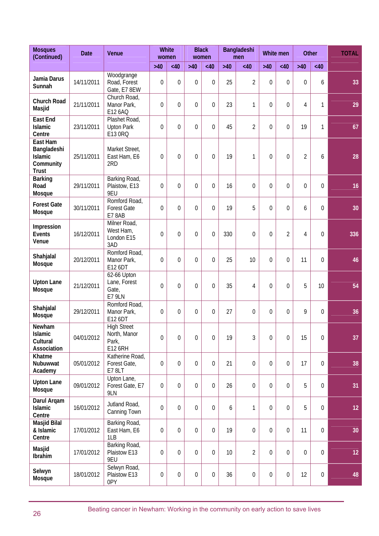| <b>Mosques</b><br>(Continued)                                          | <b>Date</b> | Venue                                                  | <b>White</b><br>women |                | <b>Black</b><br>women |                  | Bangladeshi<br>men |                  |                  | White men        |                | <b>Other</b>     | <b>TOTAL</b> |
|------------------------------------------------------------------------|-------------|--------------------------------------------------------|-----------------------|----------------|-----------------------|------------------|--------------------|------------------|------------------|------------------|----------------|------------------|--------------|
|                                                                        |             |                                                        | $>40$                 | <40            | $>40$                 | <40              | $>40$              | <40              | $>40$            | <40              | $>40$          | <40              |              |
| Jamia Darus<br>Sunnah                                                  | 14/11/2011  | Woodgrange<br>Road, Forest<br>Gate, E7 8EW             | 0                     | $\Omega$       | 0                     | $\Omega$         | 25                 | 2                | 0                | $\mathbf 0$      | 0              | 6                | 33           |
| <b>Church Road</b><br>Masjid                                           | 21/11/2011  | Church Road,<br>Manor Park,<br>E12 6AQ                 | $\theta$              | $\overline{0}$ | $\theta$              | $\Omega$         | 23                 | 1                | 0                | $\mathbf 0$      | $\overline{4}$ | 1                | 29           |
| <b>East End</b><br><b>Islamic</b><br>Centre                            | 23/11/2011  | Plashet Road,<br><b>Upton Park</b><br>E13 0RQ          | $\theta$              | $\overline{0}$ | $\theta$              | $\Omega$         | 45                 | $\overline{2}$   | $\overline{0}$   | $\overline{0}$   | 19             | 1                | 67           |
| East Ham<br>Bangladeshi<br><b>Islamic</b><br>Community<br><b>Trust</b> | 25/11/2011  | Market Street,<br>East Ham, E6<br>2RD                  | $\theta$              | $\Omega$       | $\Omega$              | $\overline{0}$   | 19                 | 1                | $\theta$         | $\overline{0}$   | $\overline{2}$ | 6                | 28           |
| <b>Barking</b><br>Road<br>Mosque                                       | 29/11/2011  | Barking Road,<br>Plaistow, E13<br>9EU                  | 0                     | $\overline{0}$ | 0                     | $\overline{0}$   | 16                 | 0                | $\overline{0}$   | $\overline{0}$   | $\overline{0}$ | 0                | 16           |
| <b>Forest Gate</b><br>Mosque                                           | 30/11/2011  | Romford Road,<br><b>Forest Gate</b><br><b>E7 8AB</b>   | $\theta$              | $\Omega$       | 0                     | $\overline{0}$   | 19                 | 5                | $\theta$         | $\overline{0}$   | 6              | 0                | 30           |
| Impression<br><b>Events</b><br>Venue                                   | 16/12/2011  | Milner Road,<br>West Ham,<br>London E15<br>3AD         | $\theta$              | $\overline{0}$ | 0                     | $\overline{0}$   | 330                | $\mathbf 0$      | $\overline{0}$   | $\overline{2}$   | $\overline{4}$ | 0                | 336          |
| Shahjalal<br>Mosque                                                    | 20/12/2011  | Romford Road,<br>Manor Park,<br>E12 6DT                | $\theta$              | $\Omega$       | 0                     | $\overline{0}$   | 25                 | 10               | $\theta$         | $\overline{0}$   | 11             | $\mathbf 0$      | 46           |
| <b>Upton Lane</b><br>Mosque                                            | 21/12/2011  | 62-66 Upton<br>Lane, Forest<br>Gate,<br><b>E7 9LN</b>  | 0                     | $\overline{0}$ | 0                     | $\Omega$         | 35                 | 4                | $\overline{0}$   | $\overline{0}$   | 5              | 10               | 54           |
| Shahjalal<br>Mosque                                                    | 29/12/2011  | Romford Road,<br>Manor Park,<br>E12 6DT                | 0                     | $\overline{0}$ | $\mathbf 0$           | $\mathbf 0$      | 27                 | $\mathbf 0$      | $\mathbf 0$      | $\mathbf 0$      | 9              | $\boldsymbol{0}$ | 36           |
| Newham<br><b>Islamic</b><br>Cultural<br>Association                    | 04/01/2012  | <b>High Street</b><br>North, Manor<br>Park,<br>E12 6RH | 0                     | $\mathbf 0$    | 0                     | $\mathbf 0$      | 19                 | 3                | 0                | $\mathbf 0$      | 15             | 0                | 37           |
| Khatme<br>Nubuwwat<br>Academy                                          | 05/01/2012  | Katherine Road,<br>Forest Gate,<br><b>E7 8LT</b>       | 0                     | $\mathbf 0$    | $\mathbf 0$           | $\mathbf 0$      | 21                 | $\boldsymbol{0}$ | $\mathbf 0$      | $\mathbf 0$      | 17             | 0                | 38           |
| <b>Upton Lane</b><br>Mosque                                            | 09/01/2012  | Upton Lane,<br>Forest Gate, E7<br>9LN                  | 0                     | $\overline{0}$ | 0                     | $\boldsymbol{0}$ | 26                 | $\boldsymbol{0}$ | 0                | $\mathbf 0$      | 5              | 0                | 31           |
| Darul Argam<br><b>Islamic</b><br>Centre                                | 16/01/2012  | Jutland Road,<br>Canning Town                          | $\mathbf 0$           | $\mathbf 0$    | $\mathbf 0$           | $\mathbf 0$      | 6                  | $\mathbf{1}$     | $\mathbf 0$      | $\mathbf 0$      | 5              | $\boldsymbol{0}$ | 12           |
| Masjid Bilal<br>& Islamic<br>Centre                                    | 17/01/2012  | Barking Road,<br>East Ham, E6<br>1LB                   | $\boldsymbol{0}$      | $\mathbf 0$    | $\mathbf 0$           | $\mathbf 0$      | 19                 | $\boldsymbol{0}$ | $\mathbf 0$      | $\mathbf 0$      | 11             | 0                | 30           |
| Masjid<br>Ibrahim                                                      | 17/01/2012  | Barking Road,<br>Plaistow E13<br>9EU                   | 0                     | $\mathbf 0$    | 0                     | $\mathbf 0$      | 10                 | 2                | 0                | $\mathbf 0$      | 0              | 0                | 12           |
| Selwyn<br>Mosque                                                       | 18/01/2012  | Selwyn Road,<br>Plaistow E13<br>0PY                    | 0                     | $\mathbf 0$    | 0                     | $\mathbf 0$      | 36                 | $\boldsymbol{0}$ | $\boldsymbol{0}$ | $\boldsymbol{0}$ | 12             | 0                | 48           |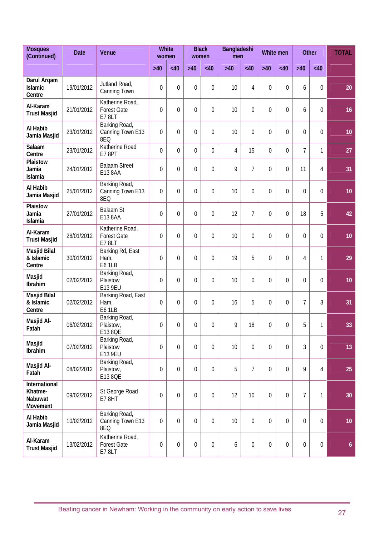| <b>Mosques</b><br>(Continued)                   | <b>Date</b> | Venue                                          | women            | <b>White</b>     | women          | <b>Black</b>     | Bangladeshi<br>men |                  |                | White men        |                | <b>Other</b> | <b>TOTAL</b>     |
|-------------------------------------------------|-------------|------------------------------------------------|------------------|------------------|----------------|------------------|--------------------|------------------|----------------|------------------|----------------|--------------|------------------|
|                                                 |             |                                                | $>40$            | <40              | $>40$          | <40              | $>40$              | <40              | $>40$          | <40              | $>40$          | <40          |                  |
| Darul Arqam<br><b>Islamic</b><br>Centre         | 19/01/2012  | Jutland Road,<br>Canning Town                  | $\mathbf 0$      | 0                | $\theta$       | $\theta$         | 10                 | 4                | $\theta$       | 0                | 6              | 0            | 20               |
| Al-Karam<br><b>Trust Masjid</b>                 | 21/01/2012  | Katherine Road,<br><b>Forest Gate</b><br>E78LT | 0                | 0                | 0              | $\Omega$         | 10                 | $\theta$         | $\overline{0}$ | $\theta$         | 6              | 0            | 16               |
| Al Habib<br>Jamia Masjid                        | 23/01/2012  | Barking Road,<br>Canning Town E13<br>8EQ       | $\mathbf 0$      | 0                | $\overline{0}$ | $\Omega$         | 10                 | $\overline{0}$   | $\overline{0}$ | $\mathbf 0$      | $\overline{0}$ | 0            | 10               |
| Salaam<br>Centre                                | 23/01/2012  | Katherine Road<br>E78PT                        | 0                | 0                | $\mathbf 0$    | $\mathbf 0$      | 4                  | 15               | $\overline{0}$ | 0                | $\overline{7}$ | 1            | 27               |
| Plaistow<br>Jamia<br>Islamia                    | 24/01/2012  | <b>Balaam Street</b><br>E13 8AA                | $\mathbf 0$      | 0                | $\overline{0}$ | $\overline{0}$   | 9                  | 7                | $\overline{0}$ | $\overline{0}$   | 11             | 4            | 31               |
| Al Habib<br>Jamia Masjid                        | 25/01/2012  | Barking Road,<br>Canning Town E13<br>8EQ       | $\mathbf 0$      | 0                | $\theta$       | $\theta$         | 10                 | 0                | $\theta$       | $\theta$         | $\theta$       | 0            | 10               |
| Plaistow<br>Jamia<br>Islamia                    | 27/01/2012  | <b>Balaam St</b><br>E13 8AA                    | $\mathbf 0$      | 0                | $\theta$       | $\theta$         | 12                 | 7                | $\theta$       | $\mathbf 0$      | 18             | 5            | 42               |
| Al-Karam<br><b>Trust Masjid</b>                 | 28/01/2012  | Katherine Road,<br><b>Forest Gate</b><br>E78LT | $\mathbf 0$      | 0                | $\theta$       | $\Omega$         | 10                 | 0                | $\overline{0}$ | $\overline{0}$   | $\theta$       | 0            | 10               |
| Masjid Bilal<br>& Islamic<br>Centre             | 30/01/2012  | Barking Rd, East<br>Ham,<br>E61LB              | 0                | 0                | $\overline{0}$ | $\overline{0}$   | 19                 | 5                | $\overline{0}$ | $\overline{0}$   | 4              | 1            | 29               |
| Masjid<br>Ibrahim                               | 02/02/2012  | Barking Road,<br>Plaistow<br>E13 9EU           | 0                | 0                | $\overline{0}$ | $\overline{0}$   | 10                 | $\overline{0}$   | $\overline{0}$ | $\overline{0}$   | $\theta$       | 0            | 10               |
| Masjid Bilal<br>& Islamic<br>Centre             | 02/02/2012  | Barking Road, East<br>Ham,<br>E61LB            | 0                | 0                | $\theta$       | $\overline{0}$   | 16                 | 5                | $\overline{0}$ | $\theta$         | 7              | 3            | 31               |
| Masjid Al-<br>Fatah                             | 06/02/2012  | Barking Road,<br>Plaistow,<br>E13 8QE          | 0                | 0                | 0              | 0                | 9                  | 18               | $\mathbf 0$    | $\boldsymbol{0}$ | 5              | 1            | 33               |
| Masjid<br>Ibrahim                               | 07/02/2012  | Barking Road,<br>Plaistow<br>E13 9EU           | 0                | $\overline{0}$   | $\mathbf 0$    | $\overline{0}$   | 10                 | 0                | 0              | 0                | 3              | 0            | 13               |
| Masjid Al-<br>Fatah                             | 08/02/2012  | Barking Road,<br>Plaistow,<br>E13 8QE          | 0                | $\overline{0}$   | $\overline{0}$ | $\overline{0}$   | 5                  | $\overline{7}$   | $\theta$       | $\theta$         | 9              | 4            | 25               |
| International<br>Khatme-<br>Nabuwat<br>Movement | 09/02/2012  | St George Road<br>E78HT                        | $\mathbf 0$      | $\overline{0}$   | $\overline{0}$ | $\overline{0}$   | 12                 | 10               | $\overline{0}$ | 0                | $\overline{7}$ | 1            | 30               |
| Al Habib<br>Jamia Masjid                        | 10/02/2012  | Barking Road,<br>Canning Town E13<br>8EQ       | $\boldsymbol{0}$ | 0                | $\overline{0}$ | $\overline{0}$   | 10                 | $\mathbf 0$      | $\overline{0}$ | 0                | $\overline{0}$ | 0            | 10 <sub>1</sub>  |
| Al-Karam<br><b>Trust Masjid</b>                 | 13/02/2012  | Katherine Road,<br><b>Forest Gate</b><br>E78LT | $\boldsymbol{0}$ | $\boldsymbol{0}$ | $\mathbf 0$    | $\boldsymbol{0}$ | 6                  | $\boldsymbol{0}$ | $\mathbf 0$    | 0                | $\mathbf 0$    | 0            | $\boldsymbol{6}$ |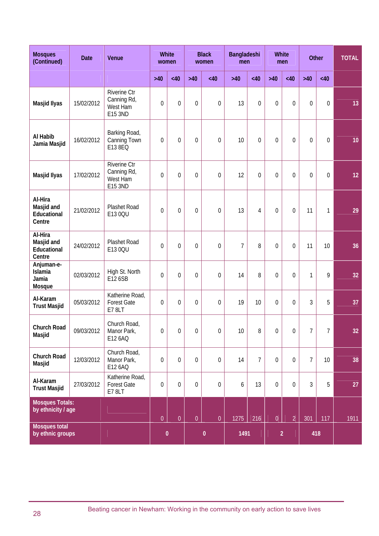| <b>Mosques</b><br>(Continued)                   | <b>Date</b> | Venue                                                     | White<br>women   |                  | <b>Black</b><br>women |                | Bangladeshi<br>men |                | <b>White</b><br>men |                  |                | Other           | <b>TOTAL</b>    |
|-------------------------------------------------|-------------|-----------------------------------------------------------|------------------|------------------|-----------------------|----------------|--------------------|----------------|---------------------|------------------|----------------|-----------------|-----------------|
|                                                 |             |                                                           | $>40$            | <40              | $>40$                 | <40            | $>40$              | <40            | $>40$               | <40              | $>40$          | <40             |                 |
| Masjid Ilyas                                    | 15/02/2012  | <b>Riverine Ctr</b><br>Canning Rd,<br>West Ham<br>E15 3ND | $\mathbf 0$      | $\overline{0}$   | $\overline{0}$        | 0              | 13                 | $\mathbf 0$    | $\overline{0}$      | $\overline{0}$   | $\overline{0}$ | 0               | 13              |
| Al Habib<br>Jamia Masjid                        | 16/02/2012  | Barking Road,<br>Canning Town<br>E13 8EQ                  | $\mathbf 0$      | $\overline{0}$   | $\mathbf 0$           | 0              | 10                 | $\mathbf 0$    | $\overline{0}$      | $\mathbf 0$      | $\overline{0}$ | 0               | 10              |
| Masjid Ilyas                                    | 17/02/2012  | Riverine Ctr<br>Canning Rd,<br>West Ham<br>E15 3ND        | $\mathbf 0$      | $\mathbf 0$      | $\mathbf 0$           | $\mathbf 0$    | 12                 | $\mathbf 0$    | $\overline{0}$      | $\mathbf 0$      | $\mathbf 0$    | 0               | 12              |
| Al-Hira<br>Masjid and<br>Educational<br>Centre  | 21/02/2012  | Plashet Road<br>E13 0QU                                   | $\mathbf 0$      | $\mathbf 0$      | $\mathbf 0$           | 0              | 13                 | 4              | $\overline{0}$      | $\mathbf 0$      | 11             | 1               | 29              |
| Al-Hira<br>Masjid and<br>Educational<br>Centre  | 24/02/2012  | Plashet Road<br>E13 0QU                                   | $\mathbf 0$      | $\overline{0}$   | $\mathbf 0$           | $\mathbf 0$    | $\overline{7}$     | 8              | $\overline{0}$      | $\mathbf 0$      | 11             | 10              | 36              |
| Anjuman-e-<br><b>Islamia</b><br>Jamia<br>Mosque | 02/03/2012  | High St. North<br>E12 6SB                                 | $\overline{0}$   | $\overline{0}$   | $\mathbf 0$           | 0              | 14                 | 8              | $\overline{0}$      | $\mathbf 0$      | 1              | 9               | 32              |
| Al-Karam<br><b>Trust Masjid</b>                 | 05/03/2012  | Katherine Road,<br><b>Forest Gate</b><br>E7 8LT           | $\mathbf 0$      | $\overline{0}$   | $\mathbf 0$           | 0              | 19                 | 10             | $\mathbf 0$         | $\mathbf 0$      | 3              | 5               | 37              |
| Church Road<br>Masjid                           | 09/03/2012  | Church Road,<br>Manor Park,<br>E12 6AQ                    | $\boldsymbol{0}$ | $\boldsymbol{0}$ | $\boldsymbol{0}$      | $\overline{0}$ | $10\,$             | 8              | $\overline{0}$      | $\boldsymbol{0}$ | $\overline{7}$ | $7\overline{ }$ | 32 <sub>2</sub> |
| Church Road<br>Masjid                           | 12/03/2012  | Church Road,<br>Manor Park,<br>E12 6AQ                    | $\overline{0}$   | $\overline{0}$   | $\theta$              | $\mathbf 0$    | 14                 | $\overline{7}$ | $\overline{0}$      | $\theta$         | $\overline{7}$ | 10 <sup>°</sup> | 38              |
| Al-Karam<br><b>Trust Masjid</b>                 | 27/03/2012  | Katherine Road,<br><b>Forest Gate</b><br>E78LT            | $\mathbf 0$      | $\mathbf 0$      | $\mathbf 0$           | $0\,$          | 6                  | 13             | $\mathbf 0$         | $\mathbf 0$      | 3              | 5               | 27              |
| <b>Mosques Totals:</b><br>by ethnicity / age    |             |                                                           | $\overline{0}$   | $\overline{0}$   | $\overline{0}$        | $\overline{0}$ | 1275               | 216            | $\overline{0}$      | $\overline{2}$   | 301            | 117             | 1911            |
| <b>Mosques total</b><br>by ethnic groups        |             |                                                           |                  | $\pmb{0}$        |                       | $\pmb{0}$      | 1491               |                |                     | $\overline{2}$   |                | 418             |                 |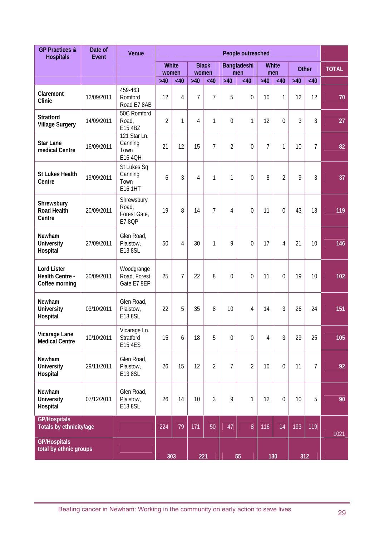| <b>GP Practices &amp;</b><br><b>Hospitals</b>           | Date of<br><b>Event</b> | Venue                                                | People outreached<br><b>White</b><br><b>Black</b><br>White<br>Bangladeshi<br>Other<br>women<br>women<br>men<br>men |                |                |                |                |                |                |                |       |                |              |
|---------------------------------------------------------|-------------------------|------------------------------------------------------|--------------------------------------------------------------------------------------------------------------------|----------------|----------------|----------------|----------------|----------------|----------------|----------------|-------|----------------|--------------|
|                                                         |                         |                                                      |                                                                                                                    |                |                |                |                |                |                |                |       |                | <b>TOTAL</b> |
|                                                         |                         |                                                      | $>40$                                                                                                              | <40            | $>40$          | <40            | $>40$          | <40            | $>40$          | <40            | $>40$ | <40            |              |
| Claremont<br>Clinic                                     | 12/09/2011              | 459-463<br>Romford<br>Road E7 8AB                    | 12                                                                                                                 | $\overline{4}$ | $\overline{7}$ | $\overline{7}$ | 5              | $\overline{0}$ | 10             | 1              | 12    | 12             | 70           |
| <b>Stratford</b><br><b>Village Surgery</b>              | 14/09/2011              | 50C Romford<br>Road,<br>E15 4BZ                      | $\overline{2}$                                                                                                     | $\mathbf{1}$   | 4              | $\mathbf{1}$   | $\mathbf 0$    | 1              | 12             | $\overline{0}$ | 3     | 3              | 27           |
| <b>Star Lane</b><br>medical Centre                      | 16/09/2011              | 121 Star Ln,<br>Canning<br>Town<br>E16 4QH           | 21                                                                                                                 | 12             | 15             | $\overline{7}$ | $\overline{2}$ | $\overline{0}$ | $\overline{7}$ | 1              | 10    | $\overline{7}$ | 82           |
| <b>St Lukes Health</b><br>Centre                        | 19/09/2011              | St Lukes Sq<br>Canning<br>Town<br>E16 1HT            | 6                                                                                                                  | 3              | 4              | $\mathbf{1}$   | 1              | $\overline{0}$ | 8              | 2              | 9     | 3              | 37           |
| Shrewsbury<br><b>Road Health</b><br>Centre              | 20/09/2011              | Shrewsbury<br>Road,<br>Forest Gate,<br><b>E7 8QP</b> | 19                                                                                                                 | 8              | 14             | $\overline{7}$ | 4              | $\overline{0}$ | 11             | $\mathbf 0$    | 43    | 13             | 119          |
| Newham<br><b>University</b><br>Hospital                 | 27/09/2011              | Glen Road,<br>Plaistow,<br>E13 8SL                   | 50                                                                                                                 | $\overline{4}$ | 30             | 1              | 9              | $\overline{0}$ | 17             | 4              | 21    | 10             | 146          |
| <b>Lord Lister</b><br>Health Centre -<br>Coffee morning | 30/09/2011              | Woodgrange<br>Road, Forest<br>Gate E7 8EP            | 25                                                                                                                 | $\overline{7}$ | 22             | 8              | $\theta$       | $\overline{0}$ | 11             | $\theta$       | 19    | 10             | 102          |
| Newham<br><b>University</b><br>Hospital                 | 03/10/2011              | Glen Road,<br>Plaistow,<br>E13 8SL                   | 22                                                                                                                 | 5              | 35             | 8              | 10             | 4              | 14             | 3              | 26    | 24             | 151          |
| Vicarage Lane<br><b>Medical Centre</b>                  | 10/10/2011              | Vicarage Ln.<br>Stratford<br>E15 4ES                 | 15                                                                                                                 | 6              | 18             | 5              | $\mathbf 0$    | $\overline{0}$ | 4              | 3              | 29    | 25             | 105          |
| Newham<br><b>University</b><br>Hospital                 | 29/11/2011              | Glen Road,<br>Plaistow,<br>E13 8SL                   | 26                                                                                                                 | 15             | 12             | $\overline{2}$ | $\overline{7}$ | $\overline{2}$ | 10             | $\mathbf 0$    | 11    | $\overline{7}$ | 92           |
| Newham<br><b>University</b><br>Hospital                 | 07/12/2011              | Glen Road,<br>Plaistow,<br>E13 8SL                   | 26                                                                                                                 | 14             | 10             | $\overline{3}$ | 9              | 1              | 12             | $\mathbf 0$    | 10    | 5              | 90           |
| <b>GP/Hospitals</b><br>Totals by ethnicity/age          |                         |                                                      | 224                                                                                                                | 79             | 171            | 50             | 47             | $\mathbf{8}$   | 116            | 14             | 193   | 119            | 1021         |
| <b>GP/Hospitals</b><br>total by ethnic groups           |                         |                                                      | 303                                                                                                                |                | 221            |                |                | 55             |                | 130            | 312   |                |              |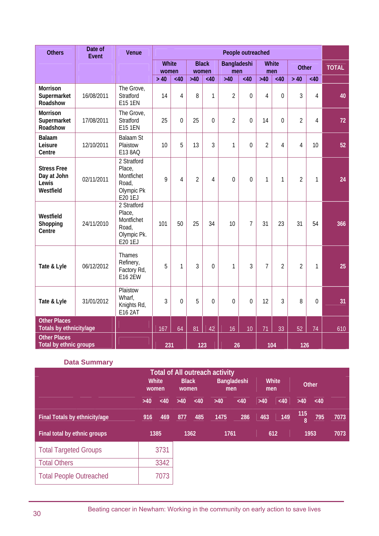| <b>Others</b>                                           | Date of<br>Event | Venue                                                                  | People outreached<br>White<br><b>Black</b><br>Bangladeshi<br><b>White</b><br><b>Other</b><br>women<br>women<br>men<br>men<br><40<br>$>40$<br>$>40$<br><40<br>$>40$<br>>40<br><40<br><40<br>> 40<br><40<br>$\overline{2}$<br>$\overline{4}$<br>3<br>14<br>$\overline{4}$<br>8<br>1<br>0<br>0<br>4<br>$\overline{2}$<br>$\overline{2}$<br>25<br>$\Omega$<br>25<br>$\mathbf 0$<br>0<br>14<br>4<br>$\theta$<br>3<br>$\overline{2}$<br>10<br>5<br>1<br>4<br>13<br>0<br>4<br>10<br>9<br>$\overline{2}$<br>$\overline{0}$<br>$\overline{0}$<br>$\mathbf{1}$<br>$\overline{2}$<br>$\overline{4}$<br>4<br>1<br>1<br>$\overline{7}$<br>101<br>50<br>25<br>34<br>31<br>23<br>54<br>10<br>31<br>3<br>$\overline{7}$<br>5<br>$\mathbf{1}$<br>3<br>1<br>$\overline{2}$<br>$\overline{2}$<br>1<br>$\mathbf 0$<br>3<br>$\mathbf{0}$<br>5<br>$\overline{0}$<br>$\overline{0}$<br>12<br>3<br>8<br>$\Omega$<br>0 |    |     |    |    |                 |     |    |     |    |              |
|---------------------------------------------------------|------------------|------------------------------------------------------------------------|-----------------------------------------------------------------------------------------------------------------------------------------------------------------------------------------------------------------------------------------------------------------------------------------------------------------------------------------------------------------------------------------------------------------------------------------------------------------------------------------------------------------------------------------------------------------------------------------------------------------------------------------------------------------------------------------------------------------------------------------------------------------------------------------------------------------------------------------------------------------------------------------------|----|-----|----|----|-----------------|-----|----|-----|----|--------------|
|                                                         |                  |                                                                        |                                                                                                                                                                                                                                                                                                                                                                                                                                                                                                                                                                                                                                                                                                                                                                                                                                                                                               |    |     |    |    |                 |     |    |     |    | <b>TOTAL</b> |
|                                                         |                  |                                                                        |                                                                                                                                                                                                                                                                                                                                                                                                                                                                                                                                                                                                                                                                                                                                                                                                                                                                                               |    |     |    |    |                 |     |    |     |    |              |
| <b>Morrison</b><br>Supermarket<br>Roadshow              | 16/08/2011       | The Grove,<br>Stratford<br><b>E15 1EN</b>                              |                                                                                                                                                                                                                                                                                                                                                                                                                                                                                                                                                                                                                                                                                                                                                                                                                                                                                               |    |     |    |    |                 |     |    |     |    | 40           |
| <b>Morrison</b><br>Supermarket<br>Roadshow              | 17/08/2011       | The Grove,<br>Stratford<br><b>E15 1EN</b>                              |                                                                                                                                                                                                                                                                                                                                                                                                                                                                                                                                                                                                                                                                                                                                                                                                                                                                                               |    |     |    |    |                 |     |    |     |    | 72           |
| <b>Balaam</b><br>Leisure<br>Centre                      | 12/10/2011       | <b>Balaam St</b><br>Plaistow<br>E13 8AQ                                |                                                                                                                                                                                                                                                                                                                                                                                                                                                                                                                                                                                                                                                                                                                                                                                                                                                                                               |    |     |    |    |                 |     |    |     |    | 52           |
| <b>Stress Free</b><br>Day at John<br>Lewis<br>Westfield | 02/11/2011       | 2 Stratford<br>Place,<br>Montfichet<br>Road,<br>Olympic Pk<br>E20 1EJ  |                                                                                                                                                                                                                                                                                                                                                                                                                                                                                                                                                                                                                                                                                                                                                                                                                                                                                               |    |     |    |    |                 |     |    |     |    | 24           |
| Westfield<br>Shopping<br>Centre                         | 24/11/2010       | 2 Stratford<br>Place,<br>Montfichet<br>Road,<br>Olympic Pk.<br>E20 1EJ |                                                                                                                                                                                                                                                                                                                                                                                                                                                                                                                                                                                                                                                                                                                                                                                                                                                                                               |    |     |    |    |                 |     |    |     |    | 366          |
| Tate & Lyle                                             | 06/12/2012       | Thames<br>Refinery,<br>Factory Rd,<br><b>E16 2EW</b>                   |                                                                                                                                                                                                                                                                                                                                                                                                                                                                                                                                                                                                                                                                                                                                                                                                                                                                                               |    |     |    |    |                 |     |    |     |    | 25           |
| Tate & Lyle                                             | 31/01/2012       | Plaistow<br>Wharf,<br>Knights Rd,<br>E16 2AT                           |                                                                                                                                                                                                                                                                                                                                                                                                                                                                                                                                                                                                                                                                                                                                                                                                                                                                                               |    |     |    |    |                 |     |    |     |    | 31           |
| <b>Other Places</b><br>Totals by ethnicity/age          |                  |                                                                        | 167                                                                                                                                                                                                                                                                                                                                                                                                                                                                                                                                                                                                                                                                                                                                                                                                                                                                                           | 64 | 81  | 42 | 16 | 10 <sup>°</sup> | 71  | 33 | 52  | 74 | 610          |
| <b>Other Places</b><br>Total by ethnic groups           |                  |                                                                        | 231                                                                                                                                                                                                                                                                                                                                                                                                                                                                                                                                                                                                                                                                                                                                                                                                                                                                                           |    | 123 |    | 26 |                 | 104 |    | 126 |    |              |

## **Data Summary**

|                                |       |                          |                       |                       | <b>Total of All outreach activity</b> |             |                     |     |              |     |      |
|--------------------------------|-------|--------------------------|-----------------------|-----------------------|---------------------------------------|-------------|---------------------|-----|--------------|-----|------|
|                                |       | <b>White</b><br>women    | <b>Black</b><br>women |                       | men                                   | Bangladeshi | <b>White</b><br>men |     | <b>Other</b> |     |      |
|                                | $>40$ | <40<br>469<br>916<br>877 |                       | $>40$<br>$>40$<br><40 |                                       | <40         | $>40$<br><40        |     | $>40$        | <40 |      |
| Final Totals by ethnicity/age  |       |                          |                       | 485                   | 1475                                  | 286         | 463                 | 149 | 115<br>8     | 795 | 7073 |
| Final total by ethnic groups   |       | 1385                     |                       | 1362                  | 1761                                  |             | 612                 |     | 1953         |     | 7073 |
| <b>Total Targeted Groups</b>   |       | 3731                     |                       |                       |                                       |             |                     |     |              |     |      |
| <b>Total Others</b>            |       | 3342                     |                       |                       |                                       |             |                     |     |              |     |      |
| <b>Total People Outreached</b> |       | 7073                     |                       |                       |                                       |             |                     |     |              |     |      |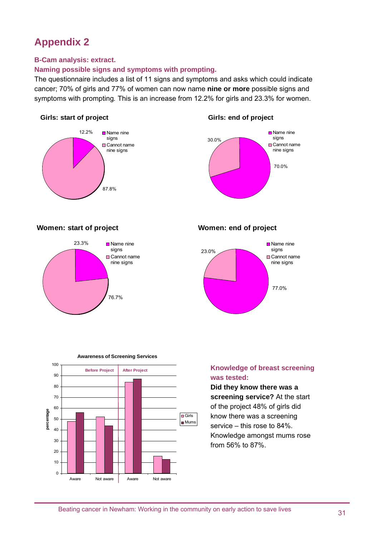## **Appendix 2**

#### **B-Cam analysis: extract.**

#### **Naming possible signs and symptoms with prompting.**

The questionnaire includes a list of 11 signs and symptoms and asks which could indicate cancer; 70% of girls and 77% of women can now name **nine or more** possible signs and symptoms with prompting*.* This is an increase from 12.2% for girls and 23.3% for women.

#### **Girls: start of project**



#### **Girls: end of project**



#### **Women: start of project**

**percentage**

percentage



### **Women: end of project**





**Awareness of Screening Services**

Aware Not aware Aware Not aware

### **Knowledge of breast screening was tested:**

**Did they know there was a screening service?** At the start of the project 48% of girls did know there was a screening service – this rose to 84%. Knowledge amongst mums rose from 56% to 87%.